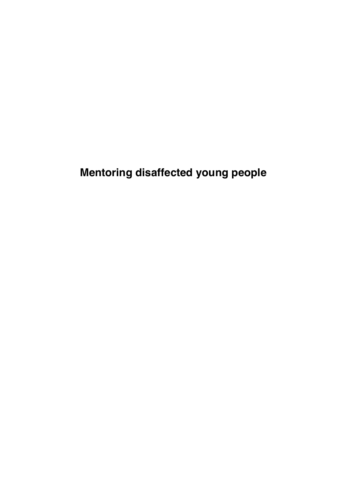**Mentoring disaffected young people**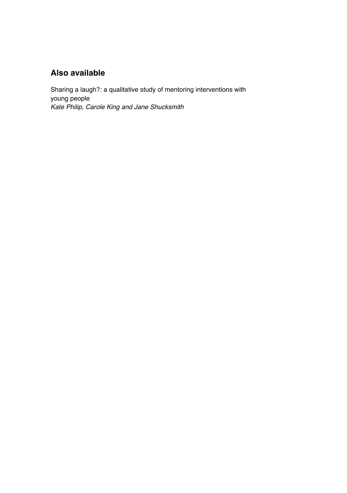## **Also available**

Sharing a laugh?: a qualitative study of mentoring interventions with young people Kate Philip, Carole King and Jane Shucksmith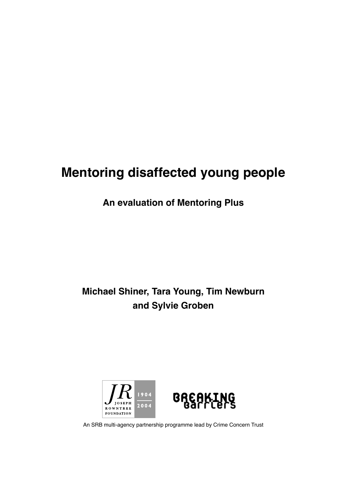# **Mentoring disaffected young people**

**An evaluation of Mentoring Plus**

## **Michael Shiner, Tara Young, Tim Newburn and Sylvie Groben**



An SRB multi-agency partnership programme lead by Crime Concern Trust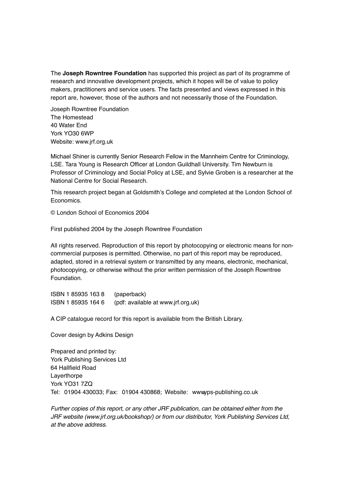The **Joseph Rowntree Foundation** has supported this project as part of its programme of research and innovative development projects, which it hopes will be of value to policy makers, practitioners and service users. The facts presented and views expressed in this report are, however, those of the authors and not necessarily those of the Foundation.

Joseph Rowntree Foundation The Homestead 40 Water End York YO30 6WP Website: www.jrf.org.uk

Michael Shiner is currently Senior Research Fellow in the Mannheim Centre for Criminology, LSE. Tara Young is Research Officer at London Guildhall University. Tim Newburn is Professor of Criminology and Social Policy at LSE, and Sylvie Groben is a researcher at the National Centre for Social Research.

This research project began at Goldsmith's College and completed at the London School of Economics.

© London School of Economics 2004

First published 2004 by the Joseph Rowntree Foundation

All rights reserved. Reproduction of this report by photocopying or electronic means for noncommercial purposes is permitted. Otherwise, no part of this report may be reproduced, adapted, stored in a retrieval system or transmitted by any means, electronic, mechanical, photocopying, or otherwise without the prior written permission of the Joseph Rowntree Foundation.

ISBN 1 85935 163 8 (paperback) ISBN 1 85935 164 6 (pdf: available at www.jrf.org.uk)

A CIP catalogue record for this report is available from the British Library.

Cover design by Adkins Design

Prepared and printed by: York Publishing Services Ltd 64 Hallfield Road Layerthorpe York YO31 7ZQ Tel: 01904 430033; Fax: 01904 430868; Website: www.yps-publishing.co.uk

Further copies of this report, or any other JRF publication, can be obtained either from the JRF website (www.jrf.org.uk/bookshop/) or from our distributor, York Publishing Services Ltd, at the above address.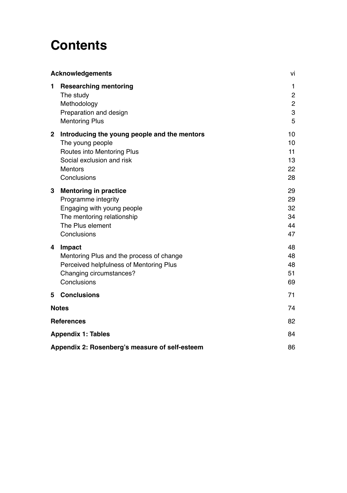# **Contents**

|                                                | <b>Acknowledgements</b>                                                                                                                                             | vi                                                                  |
|------------------------------------------------|---------------------------------------------------------------------------------------------------------------------------------------------------------------------|---------------------------------------------------------------------|
| 1                                              | <b>Researching mentoring</b><br>The study<br>Methodology<br>Preparation and design<br><b>Mentoring Plus</b>                                                         | $\mathbf{1}$<br>$\overline{\mathbf{c}}$<br>$\overline{c}$<br>3<br>5 |
| $\mathbf{2}$                                   | Introducing the young people and the mentors<br>The young people<br><b>Routes into Mentoring Plus</b><br>Social exclusion and risk<br><b>Mentors</b><br>Conclusions | 10<br>10<br>11<br>13<br>22<br>28                                    |
| 3                                              | <b>Mentoring in practice</b><br>Programme integrity<br>Engaging with young people<br>The mentoring relationship<br>The Plus element<br>Conclusions                  | 29<br>29<br>32<br>34<br>44<br>47                                    |
| 4                                              | Impact<br>Mentoring Plus and the process of change<br>Perceived helpfulness of Mentoring Plus<br>Changing circumstances?<br>Conclusions                             | 48<br>48<br>48<br>51<br>69                                          |
| 5                                              | <b>Conclusions</b>                                                                                                                                                  | 71                                                                  |
| <b>Notes</b>                                   |                                                                                                                                                                     | 74                                                                  |
|                                                | <b>References</b>                                                                                                                                                   | 82                                                                  |
|                                                | <b>Appendix 1: Tables</b>                                                                                                                                           | 84                                                                  |
| Appendix 2: Rosenberg's measure of self-esteem |                                                                                                                                                                     | 86                                                                  |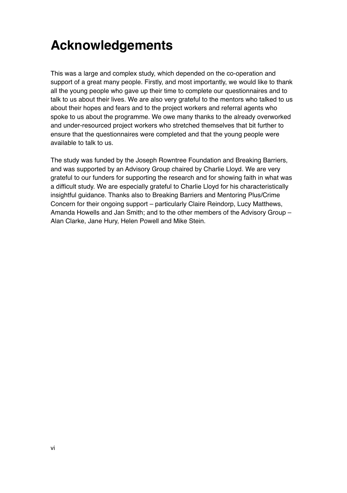# **Acknowledgements**

This was a large and complex study, which depended on the co-operation and support of a great many people. Firstly, and most importantly, we would like to thank all the young people who gave up their time to complete our questionnaires and to talk to us about their lives. We are also very grateful to the mentors who talked to us about their hopes and fears and to the project workers and referral agents who spoke to us about the programme. We owe many thanks to the already overworked and under-resourced project workers who stretched themselves that bit further to ensure that the questionnaires were completed and that the young people were available to talk to us.

The study was funded by the Joseph Rowntree Foundation and Breaking Barriers, and was supported by an Advisory Group chaired by Charlie Lloyd. We are very grateful to our funders for supporting the research and for showing faith in what was a difficult study. We are especially grateful to Charlie Lloyd for his characteristically insightful guidance. Thanks also to Breaking Barriers and Mentoring Plus/Crime Concern for their ongoing support – particularly Claire Reindorp, Lucy Matthews, Amanda Howells and Jan Smith; and to the other members of the Advisory Group – Alan Clarke, Jane Hury, Helen Powell and Mike Stein.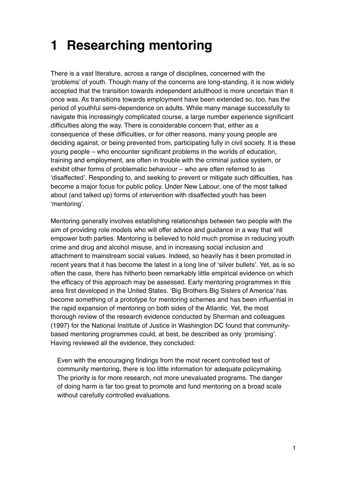# **1 Researching mentoring**

There is a vast literature, across a range of disciplines, concerned with the 'problems' of youth. Though many of the concerns are long-standing, it is now widely accepted that the transition towards independent adulthood is more uncertain than it once was. As transitions towards employment have been extended so, too, has the period of youthful semi-dependence on adults. While many manage successfully to navigate this increasingly complicated course, a large number experience significant difficulties along the way. There is considerable concern that, either as a consequence of these difficulties, or for other reasons, many young people are deciding against, or being prevented from, participating fully in civil society. It is these young people – who encounter significant problems in the worlds of education, training and employment, are often in trouble with the criminal justice system, or exhibit other forms of problematic behaviour – who are often referred to as 'disaffected'. Responding to, and seeking to prevent or mitigate such difficulties, has become a major focus for public policy. Under New Labour, one of the most talked about (and talked up) forms of intervention with disaffected youth has been 'mentoring'.

Mentoring generally involves establishing relationships between two people with the aim of providing role models who will offer advice and guidance in a way that will empower both parties. Mentoring is believed to hold much promise in reducing youth crime and drug and alcohol misuse, and in increasing social inclusion and attachment to mainstream social values. Indeed, so heavily has it been promoted in recent years that it has become the latest in a long line of 'silver bullets'. Yet, as is so often the case, there has hitherto been remarkably little empirical evidence on which the efficacy of this approach may be assessed. Early mentoring programmes in this area first developed in the United States. 'Big Brothers Big Sisters of America' has become something of a prototype for mentoring schemes and has been influential in the rapid expansion of mentoring on both sides of the Atlantic. Yet, the most thorough review of the research evidence conducted by Sherman and colleagues (1997) for the National Institute of Justice in Washington DC found that communitybased mentoring programmes could, at best, be described as only 'promising'. Having reviewed all the evidence, they concluded:

Even with the encouraging findings from the most recent controlled test of community mentoring, there is too little information for adequate policymaking. The priority is for more research, not more unevaluated programs. The danger of doing harm is far too great to promote and fund mentoring on a broad scale without carefully controlled evaluations.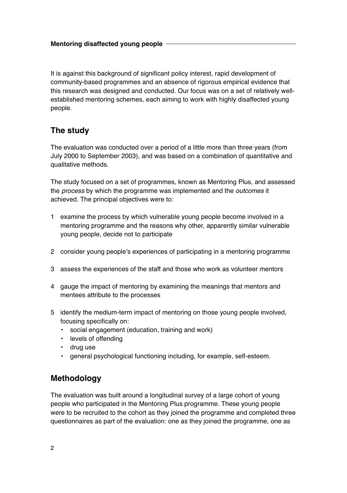It is against this background of significant policy interest, rapid development of community-based programmes and an absence of rigorous empirical evidence that this research was designed and conducted. Our focus was on a set of relatively wellestablished mentoring schemes, each aiming to work with highly disaffected young people.

## **The study**

The evaluation was conducted over a period of a little more than three years (from July 2000 to September 2003), and was based on a combination of quantitative and qualitative methods.

The study focused on a set of programmes, known as Mentoring Plus, and assessed the *process* by which the programme was implemented and the *outcomes* it achieved. The principal objectives were to:

- 1 examine the process by which vulnerable young people become involved in a mentoring programme and the reasons why other, apparently similar vulnerable young people, decide not to participate
- 2 consider young people's experiences of participating in a mentoring programme
- 3 assess the experiences of the staff and those who work as volunteer mentors
- 4 gauge the impact of mentoring by examining the meanings that mentors and mentees attribute to the processes
- 5 identify the medium-term impact of mentoring on those young people involved, focusing specifically on:
	- social engagement (education, training and work)
	- levels of offending
	- drug use
	- general psychological functioning including, for example, self-esteem.

## **Methodology**

The evaluation was built around a longitudinal survey of a large cohort of young people who participated in the Mentoring Plus programme. These young people were to be recruited to the cohort as they joined the programme and completed three questionnaires as part of the evaluation: one as they joined the programme, one as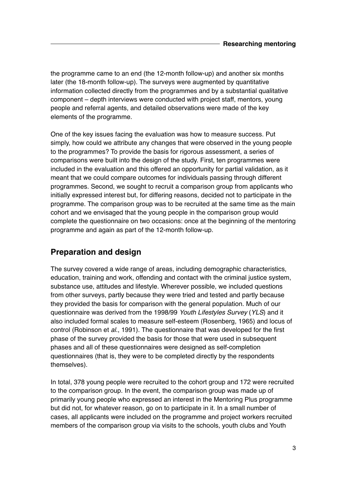the programme came to an end (the 12-month follow-up) and another six months later (the 18-month follow-up). The surveys were augmented by quantitative information collected directly from the programmes and by a substantial qualitative component – depth interviews were conducted with project staff, mentors, young people and referral agents, and detailed observations were made of the key elements of the programme.

One of the key issues facing the evaluation was how to measure success. Put simply, how could we attribute any changes that were observed in the young people to the programmes? To provide the basis for rigorous assessment, a series of comparisons were built into the design of the study. First, ten programmes were included in the evaluation and this offered an opportunity for partial validation, as it meant that we could compare outcomes for individuals passing through different programmes. Second, we sought to recruit a comparison group from applicants who initially expressed interest but, for differing reasons, decided not to participate in the programme. The comparison group was to be recruited at the same time as the main cohort and we envisaged that the young people in the comparison group would complete the questionnaire on two occasions: once at the beginning of the mentoring programme and again as part of the 12-month follow-up.

## **Preparation and design**

The survey covered a wide range of areas, including demographic characteristics, education, training and work, offending and contact with the criminal justice system, substance use, attitudes and lifestyle. Wherever possible, we included questions from other surveys, partly because they were tried and tested and partly because they provided the basis for comparison with the general population. Much of our questionnaire was derived from the 1998/99 Youth Lifestyles Survey (YLS) and it also included formal scales to measure self-esteem (Rosenberg, 1965) and locus of control (Robinson et al., 1991). The questionnaire that was developed for the first phase of the survey provided the basis for those that were used in subsequent phases and all of these questionnaires were designed as self-completion questionnaires (that is, they were to be completed directly by the respondents themselves).

In total, 378 young people were recruited to the cohort group and 172 were recruited to the comparison group. In the event, the comparison group was made up of primarily young people who expressed an interest in the Mentoring Plus programme but did not, for whatever reason, go on to participate in it. In a small number of cases, all applicants were included on the programme and project workers recruited members of the comparison group via visits to the schools, youth clubs and Youth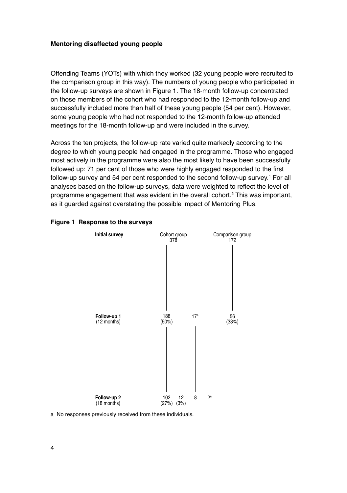Offending Teams (YOTs) with which they worked (32 young people were recruited to the comparison group in this way). The numbers of young people who participated in the follow-up surveys are shown in Figure 1. The 18-month follow-up concentrated on those members of the cohort who had responded to the 12-month follow-up and successfully included more than half of these young people (54 per cent). However, some young people who had not responded to the 12-month follow-up attended meetings for the 18-month follow-up and were included in the survey.

Across the ten projects, the follow-up rate varied quite markedly according to the degree to which young people had engaged in the programme. Those who engaged most actively in the programme were also the most likely to have been successfully followed up: 71 per cent of those who were highly engaged responded to the first follow-up survey and 54 per cent responded to the second follow-up survey.<sup>1</sup> For all analyses based on the follow-up surveys, data were weighted to reflect the level of programme engagement that was evident in the overall cohort.<sup>2</sup> This was important, as it guarded against overstating the possible impact of Mentoring Plus.



#### **Figure 1 Response to the surveys**

a No responses previously received from these individuals.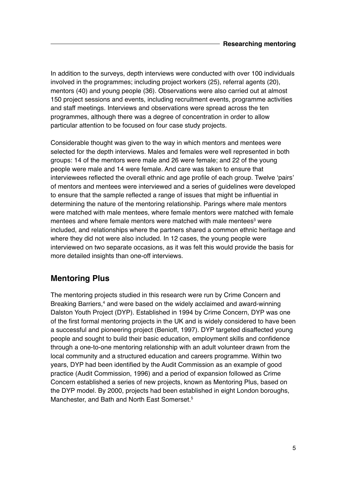In addition to the surveys, depth interviews were conducted with over 100 individuals involved in the programmes; including project workers (25), referral agents (20), mentors (40) and young people (36). Observations were also carried out at almost 150 project sessions and events, including recruitment events, programme activities and staff meetings. Interviews and observations were spread across the ten programmes, although there was a degree of concentration in order to allow particular attention to be focused on four case study projects.

Considerable thought was given to the way in which mentors and mentees were selected for the depth interviews. Males and females were well represented in both groups: 14 of the mentors were male and 26 were female; and 22 of the young people were male and 14 were female. And care was taken to ensure that interviewees reflected the overall ethnic and age profile of each group. Twelve 'pairs' of mentors and mentees were interviewed and a series of guidelines were developed to ensure that the sample reflected a range of issues that might be influential in determining the nature of the mentoring relationship. Parings where male mentors were matched with male mentees, where female mentors were matched with female mentees and where female mentors were matched with male mentees<sup>3</sup> were included, and relationships where the partners shared a common ethnic heritage and where they did not were also included. In 12 cases, the young people were interviewed on two separate occasions, as it was felt this would provide the basis for more detailed insights than one-off interviews.

## **Mentoring Plus**

The mentoring projects studied in this research were run by Crime Concern and Breaking Barriers,<sup>4</sup> and were based on the widely acclaimed and award-winning Dalston Youth Project (DYP). Established in 1994 by Crime Concern, DYP was one of the first formal mentoring projects in the UK and is widely considered to have been a successful and pioneering project (Benioff, 1997). DYP targeted disaffected young people and sought to build their basic education, employment skills and confidence through a one-to-one mentoring relationship with an adult volunteer drawn from the local community and a structured education and careers programme. Within two years, DYP had been identified by the Audit Commission as an example of good practice (Audit Commission, 1996) and a period of expansion followed as Crime Concern established a series of new projects, known as Mentoring Plus, based on the DYP model. By 2000, projects had been established in eight London boroughs, Manchester, and Bath and North East Somerset.<sup>5</sup>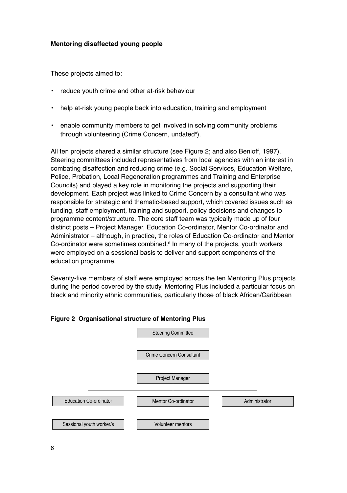These projects aimed to:

- reduce youth crime and other at-risk behaviour
- help at-risk young people back into education, training and employment
- enable community members to get involved in solving community problems through volunteering (Crime Concern, undated<sup>a</sup>).

All ten projects shared a similar structure (see Figure 2; and also Benioff, 1997). Steering committees included representatives from local agencies with an interest in combating disaffection and reducing crime (e.g. Social Services, Education Welfare, Police, Probation, Local Regeneration programmes and Training and Enterprise Councils) and played a key role in monitoring the projects and supporting their development. Each project was linked to Crime Concern by a consultant who was responsible for strategic and thematic-based support, which covered issues such as funding, staff employment, training and support, policy decisions and changes to programme content/structure. The core staff team was typically made up of four distinct posts – Project Manager, Education Co-ordinator, Mentor Co-ordinator and Administrator – although, in practice, the roles of Education Co-ordinator and Mentor Co-ordinator were sometimes combined.<sup>6</sup> In many of the projects, youth workers were employed on a sessional basis to deliver and support components of the education programme.

Seventy-five members of staff were employed across the ten Mentoring Plus projects during the period covered by the study. Mentoring Plus included a particular focus on black and minority ethnic communities, particularly those of black African/Caribbean

#### **Figure 2 Organisational structure of Mentoring Plus**

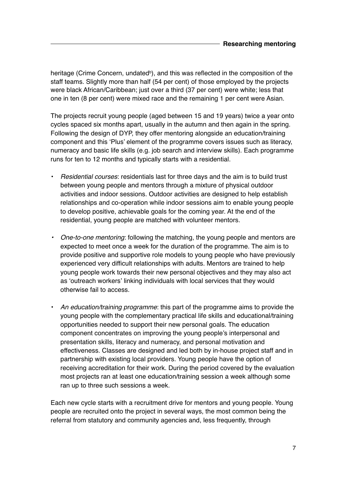heritage (Crime Concern, undated<sup>b</sup>), and this was reflected in the composition of the staff teams. Slightly more than half (54 per cent) of those employed by the projects were black African/Caribbean; just over a third (37 per cent) were white; less that one in ten (8 per cent) were mixed race and the remaining 1 per cent were Asian.

The projects recruit young people (aged between 15 and 19 years) twice a year onto cycles spaced six months apart, usually in the autumn and then again in the spring. Following the design of DYP, they offer mentoring alongside an education/training component and this 'Plus' element of the programme covers issues such as literacy, numeracy and basic life skills (e.g. job search and interview skills). Each programme runs for ten to 12 months and typically starts with a residential.

- Residential courses: residentials last for three days and the aim is to build trust between young people and mentors through a mixture of physical outdoor activities and indoor sessions. Outdoor activities are designed to help establish relationships and co-operation while indoor sessions aim to enable young people to develop positive, achievable goals for the coming year. At the end of the residential, young people are matched with volunteer mentors.
- One-to-one mentoring: following the matching, the young people and mentors are expected to meet once a week for the duration of the programme. The aim is to provide positive and supportive role models to young people who have previously experienced very difficult relationships with adults. Mentors are trained to help young people work towards their new personal objectives and they may also act as 'outreach workers' linking individuals with local services that they would otherwise fail to access.
- An education/training programme: this part of the programme aims to provide the young people with the complementary practical life skills and educational/training opportunities needed to support their new personal goals. The education component concentrates on improving the young people's interpersonal and presentation skills, literacy and numeracy, and personal motivation and effectiveness. Classes are designed and led both by in-house project staff and in partnership with existing local providers. Young people have the option of receiving accreditation for their work. During the period covered by the evaluation most projects ran at least one education/training session a week although some ran up to three such sessions a week.

Each new cycle starts with a recruitment drive for mentors and young people. Young people are recruited onto the project in several ways, the most common being the referral from statutory and community agencies and, less frequently, through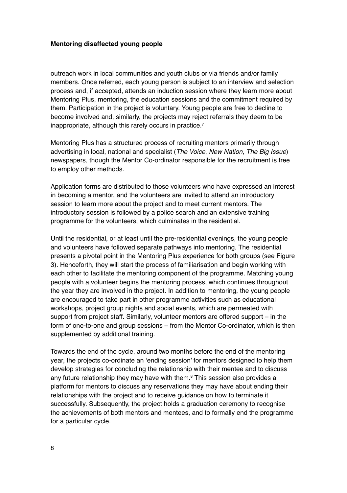outreach work in local communities and youth clubs or via friends and/or family members. Once referred, each young person is subject to an interview and selection process and, if accepted, attends an induction session where they learn more about Mentoring Plus, mentoring, the education sessions and the commitment required by them. Participation in the project is voluntary. Young people are free to decline to become involved and, similarly, the projects may reject referrals they deem to be inappropriate, although this rarely occurs in practice.7

Mentoring Plus has a structured process of recruiting mentors primarily through advertising in local, national and specialist (The Voice, New Nation, The Big Issue) newspapers, though the Mentor Co-ordinator responsible for the recruitment is free to employ other methods.

Application forms are distributed to those volunteers who have expressed an interest in becoming a mentor, and the volunteers are invited to attend an introductory session to learn more about the project and to meet current mentors. The introductory session is followed by a police search and an extensive training programme for the volunteers, which culminates in the residential.

Until the residential, or at least until the pre-residential evenings, the young people and volunteers have followed separate pathways into mentoring. The residential presents a pivotal point in the Mentoring Plus experience for both groups (see Figure 3). Henceforth, they will start the process of familiarisation and begin working with each other to facilitate the mentoring component of the programme. Matching young people with a volunteer begins the mentoring process, which continues throughout the year they are involved in the project. In addition to mentoring, the young people are encouraged to take part in other programme activities such as educational workshops, project group nights and social events, which are permeated with support from project staff. Similarly, volunteer mentors are offered support – in the form of one-to-one and group sessions – from the Mentor Co-ordinator, which is then supplemented by additional training.

Towards the end of the cycle, around two months before the end of the mentoring year, the projects co-ordinate an 'ending session' for mentors designed to help them develop strategies for concluding the relationship with their mentee and to discuss any future relationship they may have with them. $8$  This session also provides a platform for mentors to discuss any reservations they may have about ending their relationships with the project and to receive guidance on how to terminate it successfully. Subsequently, the project holds a graduation ceremony to recognise the achievements of both mentors and mentees, and to formally end the programme for a particular cycle.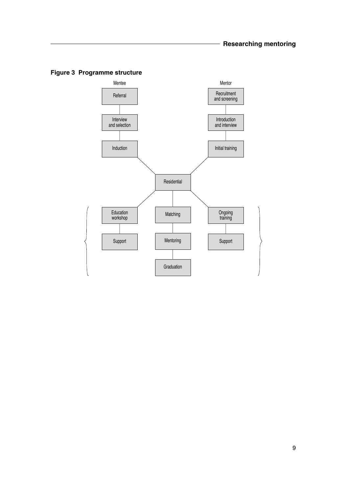

### **Figure 3 Programme structure**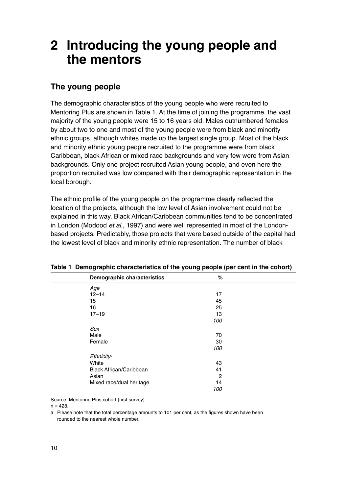## **2 Introducing the young people and the mentors**

## **The young people**

The demographic characteristics of the young people who were recruited to Mentoring Plus are shown in Table 1. At the time of joining the programme, the vast majority of the young people were 15 to 16 years old. Males outnumbered females by about two to one and most of the young people were from black and minority ethnic groups, although whites made up the largest single group. Most of the black and minority ethnic young people recruited to the programme were from black Caribbean, black African or mixed race backgrounds and very few were from Asian backgrounds. Only one project recruited Asian young people, and even here the proportion recruited was low compared with their demographic representation in the local borough.

The ethnic profile of the young people on the programme clearly reflected the location of the projects, although the low level of Asian involvement could not be explained in this way. Black African/Caribbean communities tend to be concentrated in London (Modood et al., 1997) and were well represented in most of the Londonbased projects. Predictably, those projects that were based outside of the capital had the lowest level of black and minority ethnic representation. The number of black

| <b>Demographic characteristics</b> | $\%$           |  |
|------------------------------------|----------------|--|
| Age                                |                |  |
| $12 - 14$                          | 17             |  |
| 15                                 | 45             |  |
| 16                                 | 25             |  |
| $17 - 19$                          | 13             |  |
|                                    | 100            |  |
| Sex                                |                |  |
| Male                               | 70             |  |
| Female                             | 30             |  |
|                                    | 100            |  |
| <b>Ethnicity<sup>a</sup></b>       |                |  |
| White                              | 43             |  |
| <b>Black African/Caribbean</b>     | 41             |  |
| Asian                              | $\overline{2}$ |  |
| Mixed race/dual heritage           | 14             |  |
|                                    | 100            |  |
|                                    |                |  |

#### **Table 1 Demographic characteristics of the young people (per cent in the cohort)**

Source: Mentoring Plus cohort (first survey).

 $n = 428.$ 

a Please note that the total percentage amounts to 101 per cent, as the figures shown have been rounded to the nearest whole number.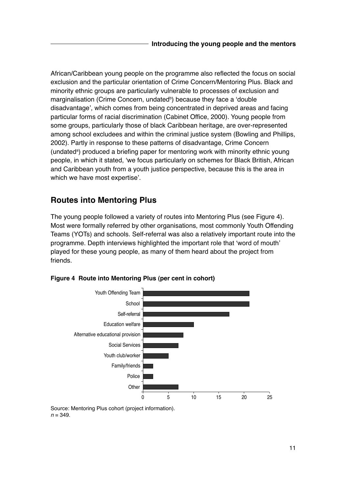African/Caribbean young people on the programme also reflected the focus on social exclusion and the particular orientation of Crime Concern/Mentoring Plus. Black and minority ethnic groups are particularly vulnerable to processes of exclusion and marginalisation (Crime Concern, undated<sup>b</sup>) because they face a 'double disadvantage', which comes from being concentrated in deprived areas and facing particular forms of racial discrimination (Cabinet Office, 2000). Young people from some groups, particularly those of black Caribbean heritage, are over-represented among school excludees and within the criminal justice system (Bowling and Phillips, 2002). Partly in response to these patterns of disadvantage, Crime Concern (undated<sup>a</sup>) produced a briefing paper for mentoring work with minority ethnic young people, in which it stated, 'we focus particularly on schemes for Black British, African and Caribbean youth from a youth justice perspective, because this is the area in which we have most expertise'.

## **Routes into Mentoring Plus**

The young people followed a variety of routes into Mentoring Plus (see Figure 4). Most were formally referred by other organisations, most commonly Youth Offending Teams (YOTs) and schools. Self-referral was also a relatively important route into the programme. Depth interviews highlighted the important role that 'word of mouth' played for these young people, as many of them heard about the project from friends.



#### **Figure 4 Route into Mentoring Plus (per cent in cohort)**

Source: Mentoring Plus cohort (project information).  $n = 349.$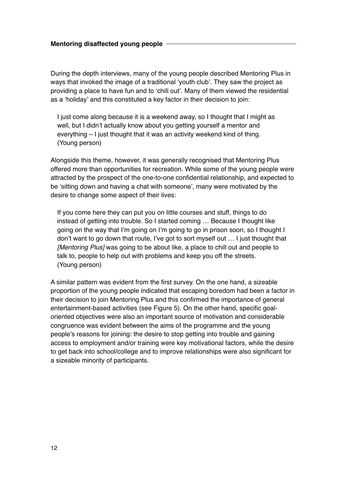During the depth interviews, many of the young people described Mentoring Plus in ways that invoked the image of a traditional 'youth club'. They saw the project as providing a place to have fun and to 'chill out'. Many of them viewed the residential as a 'holiday' and this constituted a key factor in their decision to join:

I just come along because it is a weekend away, so I thought that I might as well, but I didn't actually know about you getting yourself a mentor and everything – I just thought that it was an activity weekend kind of thing. (Young person)

Alongside this theme, however, it was generally recognised that Mentoring Plus offered more than opportunities for recreation. While some of the young people were attracted by the prospect of the one-to-one confidential relationship, and expected to be 'sitting down and having a chat with someone', many were motivated by the desire to change some aspect of their lives:

If you come here they can put you on little courses and stuff, things to do instead of getting into trouble. So I started coming … Because I thought like going on the way that I'm going on I'm going to go in prison soon, so I thought I don't want to go down that route, I've got to sort myself out … I just thought that [Mentoring Plus] was going to be about like, a place to chill out and people to talk to, people to help out with problems and keep you off the streets. (Young person)

A similar pattern was evident from the first survey. On the one hand, a sizeable proportion of the young people indicated that escaping boredom had been a factor in their decision to join Mentoring Plus and this confirmed the importance of general entertainment-based activities (see Figure 5). On the other hand, specific goaloriented objectives were also an important source of motivation and considerable congruence was evident between the aims of the programme and the young people's reasons for joining: the desire to stop getting into trouble and gaining access to employment and/or training were key motivational factors, while the desire to get back into school/college and to improve relationships were also significant for a sizeable minority of participants.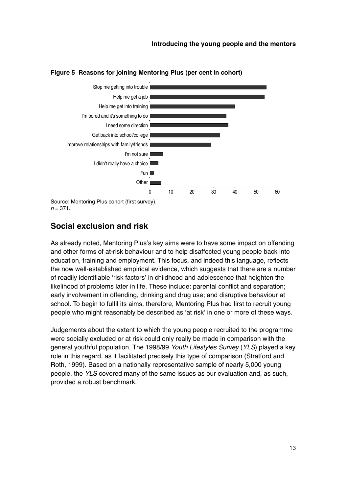

**Figure 5 Reasons for joining Mentoring Plus (per cent in cohort)**

 $n = 371.$ 

## **Social exclusion and risk**

As already noted, Mentoring Plus's key aims were to have some impact on offending and other forms of at-risk behaviour and to help disaffected young people back into education, training and employment. This focus, and indeed this language, reflects the now well-established empirical evidence, which suggests that there are a number of readily identifiable 'risk factors' in childhood and adolescence that heighten the likelihood of problems later in life. These include: parental conflict and separation; early involvement in offending, drinking and drug use; and disruptive behaviour at school. To begin to fulfil its aims, therefore, Mentoring Plus had first to recruit young people who might reasonably be described as 'at risk' in one or more of these ways.

Judgements about the extent to which the young people recruited to the programme were socially excluded or at risk could only really be made in comparison with the general youthful population. The 1998/99 Youth Lifestyles Survey (YLS) played a key role in this regard, as it facilitated precisely this type of comparison (Stratford and Roth, 1999). Based on a nationally representative sample of nearly 5,000 young people, the YLS covered many of the same issues as our evaluation and, as such, provided a robust benchmark.<sup>1</sup>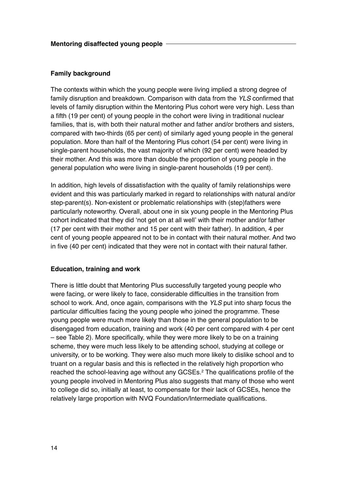#### *Family background*

The contexts within which the young people were living implied a strong degree of family disruption and breakdown. Comparison with data from the YLS confirmed that levels of family disruption within the Mentoring Plus cohort were very high. Less than a fifth (19 per cent) of young people in the cohort were living in traditional nuclear families, that is, with both their natural mother and father and/or brothers and sisters, compared with two-thirds (65 per cent) of similarly aged young people in the general population. More than half of the Mentoring Plus cohort (54 per cent) were living in single-parent households, the vast majority of which (92 per cent) were headed by their mother. And this was more than double the proportion of young people in the general population who were living in single-parent households (19 per cent).

In addition, high levels of dissatisfaction with the quality of family relationships were evident and this was particularly marked in regard to relationships with natural and/or step-parent(s). Non-existent or problematic relationships with (step)fathers were particularly noteworthy. Overall, about one in six young people in the Mentoring Plus cohort indicated that they did 'not get on at all well' with their mother and/or father (17 per cent with their mother and 15 per cent with their father). In addition, 4 per cent of young people appeared not to be in contact with their natural mother. And two in five (40 per cent) indicated that they were not in contact with their natural father.

#### *Education, training and work*

There is little doubt that Mentoring Plus successfully targeted young people who were facing, or were likely to face, considerable difficulties in the transition from school to work. And, once again, comparisons with the YLS put into sharp focus the particular difficulties facing the young people who joined the programme. These young people were much more likely than those in the general population to be disengaged from education, training and work (40 per cent compared with 4 per cent – see Table 2). More specifically, while they were more likely to be on a training scheme, they were much less likely to be attending school, studying at college or university, or to be working. They were also much more likely to dislike school and to truant on a regular basis and this is reflected in the relatively high proportion who reached the school-leaving age without any GCSEs.<sup>2</sup> The qualifications profile of the young people involved in Mentoring Plus also suggests that many of those who went to college did so, initially at least, to compensate for their lack of GCSEs, hence the relatively large proportion with NVQ Foundation/Intermediate qualifications.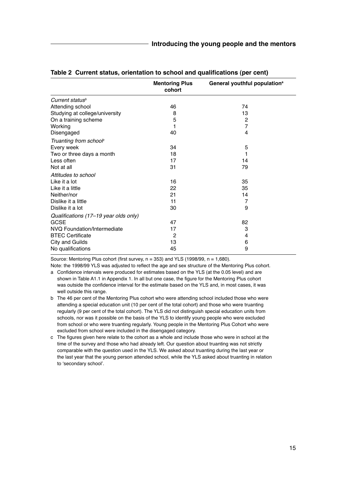| -----------<br>-- -----,              |                                 |                                          |  |
|---------------------------------------|---------------------------------|------------------------------------------|--|
|                                       | <b>Mentoring Plus</b><br>cohort | General youthful population <sup>a</sup> |  |
| Current status <sup>b</sup>           |                                 |                                          |  |
| Attending school                      | 46                              | 74                                       |  |
| Studying at college/university        | 8                               | 13                                       |  |
| On a training scheme                  | 5                               | $\overline{c}$                           |  |
| Working                               |                                 | 7                                        |  |
| Disengaged                            | 40                              | 4                                        |  |
| Truanting from school <sup>c</sup>    |                                 |                                          |  |
| Every week                            | 34                              | 5                                        |  |
| Two or three days a month             | 18                              |                                          |  |
| Less often                            | 17                              | 14                                       |  |
| Not at all                            | 31                              | 79                                       |  |
| Attitudes to school                   |                                 |                                          |  |
| Like it a lot                         | 16                              | 35                                       |  |
| Like it a little                      | 22                              | 35                                       |  |
| Neither/nor                           | 21                              | 14                                       |  |
| Dislike it a little                   | 11                              | 7                                        |  |
| Dislike it a lot                      | 30                              | 9                                        |  |
| Qualifications (17-19 year olds only) |                                 |                                          |  |
| <b>GCSE</b>                           | 47                              | 82                                       |  |
| NVQ Foundation/Intermediate           | 17                              | 3                                        |  |
| <b>BTEC Certificate</b>               | $\overline{2}$                  | 4                                        |  |
| City and Guilds                       | 13                              | 6                                        |  |
| No qualifications                     | 45                              | 9                                        |  |

#### **Table 2 Current status, orientation to school and qualifications (per cent)**

Source: Mentoring Plus cohort (first survey, n = 353) and YLS (1998/99, n = 1,680).

Note: the 1998/99 YLS was adjusted to reflect the age and sex structure of the Mentoring Plus cohort. a Confidence intervals were produced for estimates based on the YLS (at the 0.05 level) and are shown in Table A1.1 in Appendix 1. In all but one case, the figure for the Mentoring Plus cohort was outside the confidence interval for the estimate based on the YLS and, in most cases, it was well outside this range.

b The 46 per cent of the Mentoring Plus cohort who were attending school included those who were attending a special education unit (10 per cent of the total cohort) and those who were truanting regularly (9 per cent of the total cohort). The YLS did not distinguish special education units from schools, nor was it possible on the basis of the YLS to identify young people who were excluded from school or who were truanting regularly. Young people in the Mentoring Plus Cohort who were excluded from school were included in the disengaged category.

c The figures given here relate to the cohort as a whole and include those who were in school at the time of the survey and those who had already left. Our question about truanting was not strictly comparable with the question used in the YLS. We asked about truanting during the last year or the last year that the young person attended school, while the YLS asked about truanting in relation to 'secondary school'.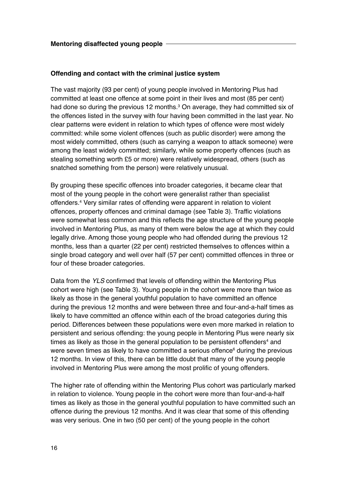#### *Offending and contact with the criminal justice system*

The vast majority (93 per cent) of young people involved in Mentoring Plus had committed at least one offence at some point in their lives and most (85 per cent) had done so during the previous 12 months.<sup>3</sup> On average, they had committed six of the offences listed in the survey with four having been committed in the last year. No clear patterns were evident in relation to which types of offence were most widely committed: while some violent offences (such as public disorder) were among the most widely committed, others (such as carrying a weapon to attack someone) were among the least widely committed; similarly, while some property offences (such as stealing something worth £5 or more) were relatively widespread, others (such as snatched something from the person) were relatively unusual.

By grouping these specific offences into broader categories, it became clear that most of the young people in the cohort were generalist rather than specialist offenders.4 Very similar rates of offending were apparent in relation to violent offences, property offences and criminal damage (see Table 3). Traffic violations were somewhat less common and this reflects the age structure of the young people involved in Mentoring Plus, as many of them were below the age at which they could legally drive. Among those young people who had offended during the previous 12 months, less than a quarter (22 per cent) restricted themselves to offences within a single broad category and well over half (57 per cent) committed offences in three or four of these broader categories.

Data from the YLS confirmed that levels of offending within the Mentoring Plus cohort were high (see Table 3). Young people in the cohort were more than twice as likely as those in the general youthful population to have committed an offence during the previous 12 months and were between three and four-and-a-half times as likely to have committed an offence within each of the broad categories during this period. Differences between these populations were even more marked in relation to persistent and serious offending: the young people in Mentoring Plus were nearly six times as likely as those in the general population to be persistent offenders<sup>4</sup> and were seven times as likely to have committed a serious offence<sup>6</sup> during the previous 12 months. In view of this, there can be little doubt that many of the young people involved in Mentoring Plus were among the most prolific of young offenders.

The higher rate of offending within the Mentoring Plus cohort was particularly marked in relation to violence. Young people in the cohort were more than four-and-a-half times as likely as those in the general youthful population to have committed such an offence during the previous 12 months. And it was clear that some of this offending was very serious. One in two (50 per cent) of the young people in the cohort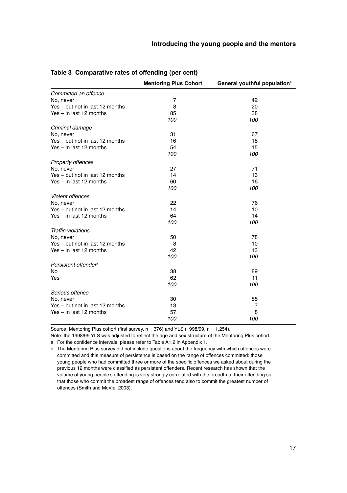|                                  | <b>Mentoring Plus Cohort</b> | General youthful population <sup>a</sup> |
|----------------------------------|------------------------------|------------------------------------------|
| Committed an offence             |                              |                                          |
| No, never                        | $\overline{7}$               | 42                                       |
| Yes - but not in last 12 months  | 8                            | 20                                       |
| Yes - in last 12 months          | 85                           | 38                                       |
|                                  | 100                          | 100                                      |
| Criminal damage                  |                              |                                          |
| No, never                        | 31                           | 67                                       |
| Yes - but not in last 12 months  | 16                           | 18                                       |
| Yes - in last 12 months          | 54                           | 15                                       |
|                                  | 100                          | 100                                      |
| Property offences                |                              |                                          |
| No, never                        | 27                           | 71                                       |
| Yes - but not in last 12 months  | 14                           | 13                                       |
| Yes - in last 12 months          | 60                           | 16                                       |
|                                  | 100                          | 100                                      |
| Violent offences                 |                              |                                          |
| No, never                        | 22                           | 76                                       |
| Yes - but not in last 12 months  | 14                           | 10                                       |
| Yes - in last 12 months          | 64                           | 14                                       |
|                                  | 100                          | 100                                      |
| Traffic violations               |                              |                                          |
| No, never                        | 50                           | 78                                       |
| Yes - but not in last 12 months  | 8                            | 10                                       |
| Yes $-$ in last 12 months        | 42                           | 13                                       |
|                                  | 100                          | 100                                      |
| Persistent offender <sup>b</sup> |                              |                                          |
| No.                              | 38                           | 89                                       |
| Yes                              | 62                           | 11                                       |
|                                  | 100                          | 100                                      |
|                                  |                              |                                          |
| Serious offence                  |                              |                                          |
| No, never                        | 30                           | 85                                       |
| Yes - but not in last 12 months  | 13                           | 7                                        |
| Yes - in last 12 months          | 57                           | 8                                        |
|                                  | 100                          | 100                                      |

#### **Table 3 Comparative rates of offending (per cent)**

Source: Mentoring Plus cohort (first survey, n = 376) and YLS (1998/99, n = 1,254).

Note: the 1998/99 YLS was adjusted to reflect the age and sex structure of the Mentoring Plus cohort.

a For the confidence intervals, please refer to Table A1.2 in Appendix 1.

b The Mentoring Plus survey did not include questions about the frequency with which offences were committed and this measure of persistence is based on the range of offences committed: those young people who had committed three or more of the specific offences we asked about during the previous 12 months were classified as persistent offenders. Recent research has shown that the volume of young people's offending is very strongly correlated with the breadth of their offending so that those who commit the broadest range of offences tend also to commit the greatest number of offences (Smith and McVie, 2003).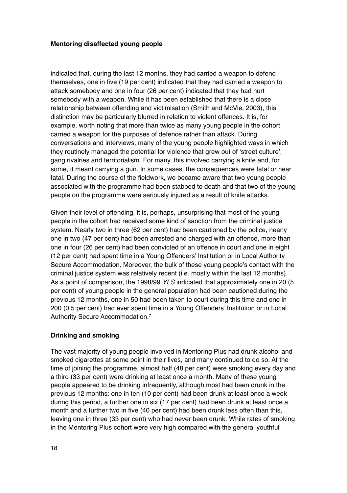indicated that, during the last 12 months, they had carried a weapon to defend themselves, one in five (19 per cent) indicated that they had carried a weapon to attack somebody and one in four (26 per cent) indicated that they had hurt somebody with a weapon. While it has been established that there is a close relationship between offending and victimisation (Smith and McVie, 2003), this distinction may be particularly blurred in relation to violent offences. It is, for example, worth noting that more than twice as many young people in the cohort carried a weapon for the purposes of defence rather than attack. During conversations and interviews, many of the young people highlighted ways in which they routinely managed the potential for violence that grew out of 'street culture', gang rivalries and territorialism. For many, this involved carrying a knife and, for some, it meant carrying a gun. In some cases, the consequences were fatal or near fatal. During the course of the fieldwork, we became aware that two young people associated with the programme had been stabbed to death and that two of the young people on the programme were seriously injured as a result of knife attacks.

Given their level of offending, it is, perhaps, unsurprising that most of the young people in the cohort had received some kind of sanction from the criminal justice system. Nearly two in three (62 per cent) had been cautioned by the police, nearly one in two (47 per cent) had been arrested and charged with an offence, more than one in four (26 per cent) had been convicted of an offence in court and one in eight (12 per cent) had spent time in a Young Offenders' Institution or in Local Authority Secure Accommodation. Moreover, the bulk of these young people's contact with the criminal justice system was relatively recent (i.e. mostly within the last 12 months). As a point of comparison, the 1998/99 YLS indicated that approximately one in 20 (5 per cent) of young people in the general population had been cautioned during the previous 12 months, one in 50 had been taken to court during this time and one in 200 (0.5 per cent) had ever spent time in a Young Offenders' Institution or in Local Authority Secure Accommodation.7

#### *Drinking and smoking*

The vast majority of young people involved in Mentoring Plus had drunk alcohol and smoked cigarettes at some point in their lives, and many continued to do so. At the time of joining the programme, almost half (48 per cent) were smoking every day and a third (33 per cent) were drinking at least once a month. Many of these young people appeared to be drinking infrequently, although most had been drunk in the previous 12 months: one in ten (10 per cent) had been drunk at least once a week during this period, a further one in six (17 per cent) had been drunk at least once a month and a further two in five (40 per cent) had been drunk less often than this, leaving one in three (33 per cent) who had never been drunk. While rates of smoking in the Mentoring Plus cohort were very high compared with the general youthful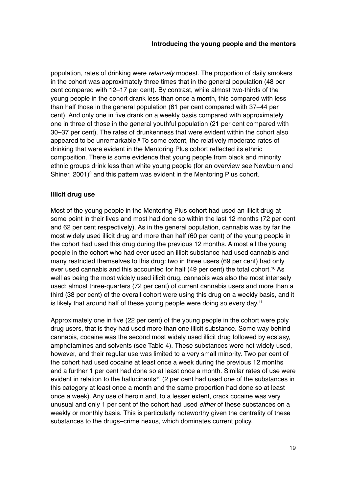population, rates of drinking were relatively modest. The proportion of daily smokers in the cohort was approximately three times that in the general population (48 per cent compared with 12–17 per cent). By contrast, while almost two-thirds of the young people in the cohort drank less than once a month, this compared with less than half those in the general population (61 per cent compared with 37–44 per cent). And only one in five drank on a weekly basis compared with approximately one in three of those in the general youthful population (21 per cent compared with 30–37 per cent). The rates of drunkenness that were evident within the cohort also appeared to be unremarkable.<sup>8</sup> To some extent, the relatively moderate rates of drinking that were evident in the Mentoring Plus cohort reflected its ethnic composition. There is some evidence that young people from black and minority ethnic groups drink less than white young people (for an overview see Newburn and Shiner, 2001)<sup>9</sup> and this pattern was evident in the Mentoring Plus cohort.

#### *Illicit drug use*

Most of the young people in the Mentoring Plus cohort had used an illicit drug at some point in their lives and most had done so within the last 12 months (72 per cent and 62 per cent respectively). As in the general population, cannabis was by far the most widely used illicit drug and more than half (60 per cent) of the young people in the cohort had used this drug during the previous 12 months. Almost all the young people in the cohort who had ever used an illicit substance had used cannabis and many restricted themselves to this drug: two in three users (69 per cent) had only ever used cannabis and this accounted for half (49 per cent) the total cohort.<sup>10</sup> As well as being the most widely used illicit drug, cannabis was also the most intensely used: almost three-quarters (72 per cent) of current cannabis users and more than a third (38 per cent) of the overall cohort were using this drug on a weekly basis, and it is likely that around half of these young people were doing so every day.<sup>11</sup>

Approximately one in five (22 per cent) of the young people in the cohort were poly drug users, that is they had used more than one illicit substance. Some way behind cannabis, cocaine was the second most widely used illicit drug followed by ecstasy, amphetamines and solvents (see Table 4). These substances were not widely used, however, and their regular use was limited to a very small minority. Two per cent of the cohort had used cocaine at least once a week during the previous 12 months and a further 1 per cent had done so at least once a month. Similar rates of use were evident in relation to the hallucinants<sup>12</sup> (2 per cent had used one of the substances in this category at least once a month and the same proportion had done so at least once a week). Any use of heroin and, to a lesser extent, crack cocaine was very unusual and only 1 per cent of the cohort had used either of these substances on a weekly or monthly basis. This is particularly noteworthy given the centrality of these substances to the drugs–crime nexus, which dominates current policy.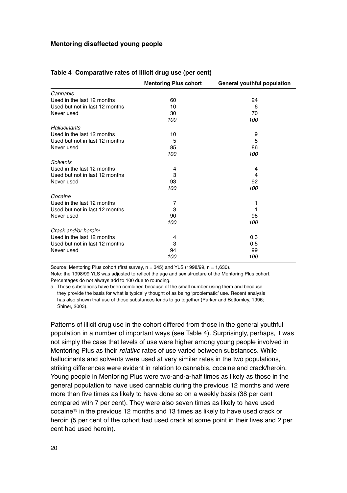|                                  | <b>Mentoring Plus cohort</b> | <b>General youthful population</b> |
|----------------------------------|------------------------------|------------------------------------|
| Cannabis                         |                              |                                    |
| Used in the last 12 months       | 60                           | 24                                 |
| Used but not in last 12 months   | 10                           | 6                                  |
| Never used                       | 30                           | 70                                 |
|                                  | 100                          | 100                                |
| Hallucinants                     |                              |                                    |
| Used in the last 12 months       | 10                           | 9                                  |
| Used but not in last 12 months   | 5                            | 5                                  |
| Never used                       | 85                           | 86                                 |
|                                  | 100                          | 100                                |
| Solvents                         |                              |                                    |
| Used in the last 12 months       | 4                            | 4                                  |
| Used but not in last 12 months   | 3                            | 4                                  |
| Never used                       | 93                           | 92                                 |
|                                  | 100                          | 100                                |
| Cocaine                          |                              |                                    |
| Used in the last 12 months       | 7                            |                                    |
| Used but not in last 12 months   | 3                            |                                    |
| Never used                       | 90                           | 98                                 |
|                                  | 100                          | 100                                |
| Crack and/or heroin <sup>a</sup> |                              |                                    |
| Used in the last 12 months       | 4                            | 0.3                                |
| Used but not in last 12 months   | 3                            | 0.5                                |
| Never used                       | 94                           | 99                                 |
|                                  | 100                          | 100                                |

#### **Table 4 Comparative rates of illicit drug use (per cent)**

Source: Mentoring Plus cohort (first survey,  $n = 345$ ) and YLS (1998/99,  $n = 1,630$ ).

Note: the 1998/99 YLS was adjusted to reflect the age and sex structure of the Mentoring Plus cohort. Percentages do not always add to 100 due to rounding.

a These substances have been combined because of the small number using them and because they provide the basis for what is typically thought of as being 'problematic' use. Recent analysis has also shown that use of these substances tends to go together (Parker and Bottomley, 1996; Shiner, 2003).

Patterns of illicit drug use in the cohort differed from those in the general youthful population in a number of important ways (see Table 4). Surprisingly, perhaps, it was not simply the case that levels of use were higher among young people involved in Mentoring Plus as their relative rates of use varied between substances. While hallucinants and solvents were used at very similar rates in the two populations, striking differences were evident in relation to cannabis, cocaine and crack/heroin. Young people in Mentoring Plus were two-and-a-half times as likely as those in the general population to have used cannabis during the previous 12 months and were more than five times as likely to have done so on a weekly basis (38 per cent compared with 7 per cent). They were also seven times as likely to have used cocaine<sup>13</sup> in the previous 12 months and 13 times as likely to have used crack or heroin (5 per cent of the cohort had used crack at some point in their lives and 2 per cent had used heroin).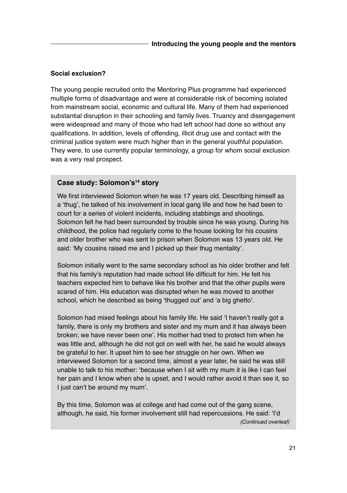#### *Social exclusion?*

The young people recruited onto the Mentoring Plus programme had experienced multiple forms of disadvantage and were at considerable risk of becoming isolated from mainstream social, economic and cultural life. Many of them had experienced substantial disruption in their schooling and family lives. Truancy and disengagement were widespread and many of those who had left school had done so without any qualifications. In addition, levels of offending, illicit drug use and contact with the criminal justice system were much higher than in the general youthful population. They were, to use currently popular terminology, a group for whom social exclusion was a very real prospect.

#### **Case study: Solomon's14 story**

We first interviewed Solomon when he was 17 years old. Describing himself as a 'thug', he talked of his involvement in local gang life and how he had been to court for a series of violent incidents, including stabbings and shootings. Solomon felt he had been surrounded by trouble since he was young. During his childhood, the police had regularly come to the house looking for his cousins and older brother who was sent to prison when Solomon was 13 years old. He said: 'My cousins raised me and I picked up their thug mentality'.

Solomon initially went to the same secondary school as his older brother and felt that his family's reputation had made school life difficult for him. He felt his teachers expected him to behave like his brother and that the other pupils were scared of him. His education was disrupted when he was moved to another school, which he described as being 'thugged out' and 'a big ghetto'.

Solomon had mixed feelings about his family life. He said 'I haven't really got a family, there is only my brothers and sister and my mum and it has always been broken; we have never been one'. His mother had tried to protect him when he was little and, although he did not got on well with her, he said he would always be grateful to her. It upset him to see her struggle on her own. When we interviewed Solomon for a second time, almost a year later, he said he was still unable to talk to his mother: 'because when I sit with my mum it is like I can feel her pain and I know when she is upset, and I would rather avoid it than see it, so I just can't be around my mum'.

By this time, Solomon was at college and had come out of the gang scene, although, he said, his former involvement still had repercussions. He said: 'I'd (Continued overleaf)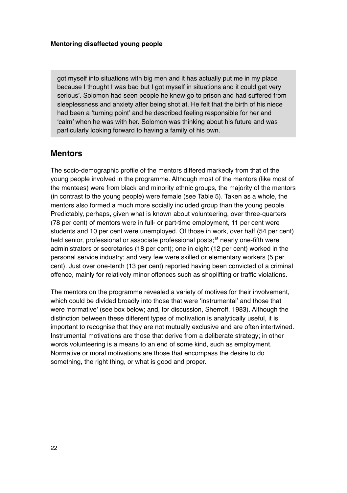got myself into situations with big men and it has actually put me in my place because I thought I was bad but I got myself in situations and it could get very serious'. Solomon had seen people he knew go to prison and had suffered from sleeplessness and anxiety after being shot at. He felt that the birth of his niece had been a 'turning point' and he described feeling responsible for her and 'calm' when he was with her. Solomon was thinking about his future and was particularly looking forward to having a family of his own.

#### **Mentors**

The socio-demographic profile of the mentors differed markedly from that of the young people involved in the programme. Although most of the mentors (like most of the mentees) were from black and minority ethnic groups, the majority of the mentors (in contrast to the young people) were female (see Table 5). Taken as a whole, the mentors also formed a much more socially included group than the young people. Predictably, perhaps, given what is known about volunteering, over three-quarters (78 per cent) of mentors were in full- or part-time employment, 11 per cent were students and 10 per cent were unemployed. Of those in work, over half (54 per cent) held senior, professional or associate professional posts;<sup>15</sup> nearly one-fifth were administrators or secretaries (18 per cent); one in eight (12 per cent) worked in the personal service industry; and very few were skilled or elementary workers (5 per cent). Just over one-tenth (13 per cent) reported having been convicted of a criminal offence, mainly for relatively minor offences such as shoplifting or traffic violations.

The mentors on the programme revealed a variety of motives for their involvement, which could be divided broadly into those that were 'instrumental' and those that were 'normative' (see box below; and, for discussion, Sherroff, 1983). Although the distinction between these different types of motivation is analytically useful, it is important to recognise that they are not mutually exclusive and are often intertwined. Instrumental motivations are those that derive from a deliberate strategy; in other words volunteering is a means to an end of some kind, such as employment. Normative or moral motivations are those that encompass the desire to do something, the right thing, or what is good and proper.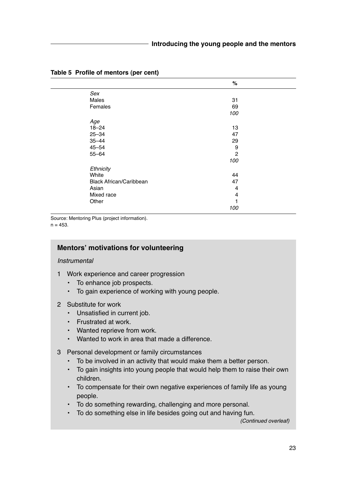|                                | $\%$           |  |
|--------------------------------|----------------|--|
| Sex                            |                |  |
| Males                          | 31             |  |
| Females                        | 69             |  |
|                                | 100            |  |
| Age                            |                |  |
| $18 - 24$                      | 13             |  |
| $25 - 34$                      | 47             |  |
| $35 - 44$                      | 29             |  |
| $45 - 54$                      | 9              |  |
| $55 - 64$                      | $\overline{2}$ |  |
|                                | 100            |  |
| Ethnicity                      |                |  |
| White                          | 44             |  |
| <b>Black African/Caribbean</b> | 47             |  |
| Asian                          | 4              |  |
| Mixed race                     | 4              |  |
| Other                          | 1              |  |
|                                | 100            |  |

#### **Table 5 Profile of mentors (per cent)**

Source: Mentoring Plus (project information).  $n = 453.$ 

#### **Mentors' motivations for volunteering**

#### **Instrumental**

- 1 Work experience and career progression
	- To enhance job prospects.
	- To gain experience of working with young people.
- 2 Substitute for work
	- Unsatisfied in current job.
	- Frustrated at work.
	- Wanted reprieve from work.
	- Wanted to work in area that made a difference.
- 3 Personal development or family circumstances
	- To be involved in an activity that would make them a better person.
	- To gain insights into young people that would help them to raise their own children.
	- To compensate for their own negative experiences of family life as young people.
	- To do something rewarding, challenging and more personal.
	- To do something else in life besides going out and having fun.

(Continued overleaf)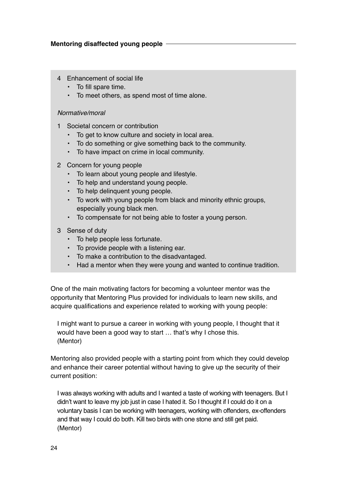- 4 Enhancement of social life
	- To fill spare time.
	- To meet others, as spend most of time alone.

#### Normative/moral

- 1 Societal concern or contribution
	- To get to know culture and society in local area.
	- To do something or give something back to the community.
	- To have impact on crime in local community.
- 2 Concern for young people
	- To learn about young people and lifestyle.
	- To help and understand young people.
	- To help delinquent young people.
	- To work with young people from black and minority ethnic groups, especially young black men.
	- To compensate for not being able to foster a young person.
- 3 Sense of duty
	- To help people less fortunate.
	- To provide people with a listening ear.
	- To make a contribution to the disadvantaged.
	- Had a mentor when they were young and wanted to continue tradition.

One of the main motivating factors for becoming a volunteer mentor was the opportunity that Mentoring Plus provided for individuals to learn new skills, and acquire qualifications and experience related to working with young people:

I might want to pursue a career in working with young people, I thought that it would have been a good way to start … that's why I chose this. (Mentor)

Mentoring also provided people with a starting point from which they could develop and enhance their career potential without having to give up the security of their current position:

I was always working with adults and I wanted a taste of working with teenagers. But I didn't want to leave my job just in case I hated it. So I thought if I could do it on a voluntary basis I can be working with teenagers, working with offenders, ex-offenders and that way I could do both. Kill two birds with one stone and still get paid. (Mentor)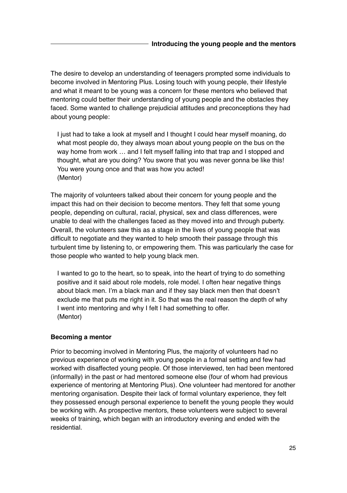The desire to develop an understanding of teenagers prompted some individuals to become involved in Mentoring Plus. Losing touch with young people, their lifestyle and what it meant to be young was a concern for these mentors who believed that mentoring could better their understanding of young people and the obstacles they faced. Some wanted to challenge prejudicial attitudes and preconceptions they had about young people:

I just had to take a look at myself and I thought I could hear myself moaning, do what most people do, they always moan about young people on the bus on the way home from work … and I felt myself falling into that trap and I stopped and thought, what are you doing? You swore that you was never gonna be like this! You were young once and that was how you acted! (Mentor)

The majority of volunteers talked about their concern for young people and the impact this had on their decision to become mentors. They felt that some young people, depending on cultural, racial, physical, sex and class differences, were unable to deal with the challenges faced as they moved into and through puberty. Overall, the volunteers saw this as a stage in the lives of young people that was difficult to negotiate and they wanted to help smooth their passage through this turbulent time by listening to, or empowering them. This was particularly the case for those people who wanted to help young black men.

I wanted to go to the heart, so to speak, into the heart of trying to do something positive and it said about role models, role model. I often hear negative things about black men. I'm a black man and if they say black men then that doesn't exclude me that puts me right in it. So that was the real reason the depth of why I went into mentoring and why I felt I had something to offer. (Mentor)

#### *Becoming a mentor*

Prior to becoming involved in Mentoring Plus, the majority of volunteers had no previous experience of working with young people in a formal setting and few had worked with disaffected young people. Of those interviewed, ten had been mentored (informally) in the past or had mentored someone else (four of whom had previous experience of mentoring at Mentoring Plus). One volunteer had mentored for another mentoring organisation. Despite their lack of formal voluntary experience, they felt they possessed enough personal experience to benefit the young people they would be working with. As prospective mentors, these volunteers were subject to several weeks of training, which began with an introductory evening and ended with the residential.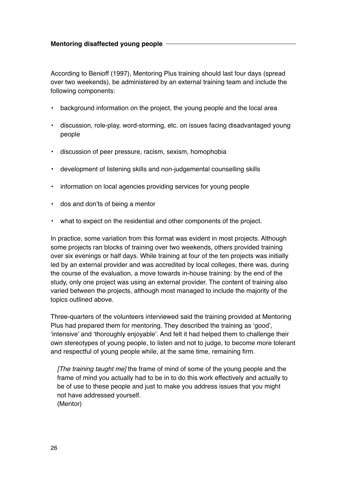According to Benioff (1997), Mentoring Plus training should last four days (spread over two weekends), be administered by an external training team and include the following components:

- background information on the project, the young people and the local area
- discussion, role-play, word-storming, etc. on issues facing disadvantaged young people
- discussion of peer pressure, racism, sexism, homophobia
- development of listening skills and non-judgemental counselling skills
- information on local agencies providing services for young people
- dos and don'ts of being a mentor
- what to expect on the residential and other components of the project.

In practice, some variation from this format was evident in most projects. Although some projects ran blocks of training over two weekends, others provided training over six evenings or half days. While training at four of the ten projects was initially led by an external provider and was accredited by local colleges, there was, during the course of the evaluation, a move towards in-house training: by the end of the study, only one project was using an external provider. The content of training also varied between the projects, although most managed to include the majority of the topics outlined above.

Three-quarters of the volunteers interviewed said the training provided at Mentoring Plus had prepared them for mentoring. They described the training as 'good', 'intensive' and 'thoroughly enjoyable'. And felt it had helped them to challenge their own stereotypes of young people, to listen and not to judge, to become more tolerant and respectful of young people while, at the same time, remaining firm.

[The training taught me] the frame of mind of some of the young people and the frame of mind you actually had to be in to do this work effectively and actually to be of use to these people and just to make you address issues that you might not have addressed yourself. (Mentor)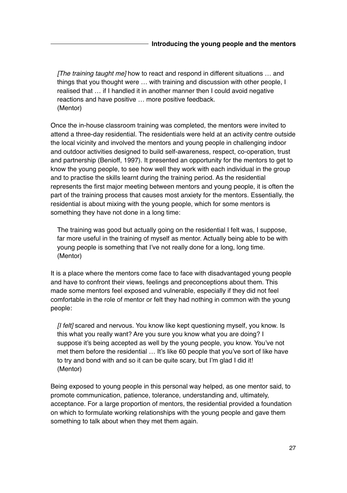[The training taught me] how to react and respond in different situations … and things that you thought were … with training and discussion with other people, I realised that … if I handled it in another manner then I could avoid negative reactions and have positive … more positive feedback. (Mentor)

Once the in-house classroom training was completed, the mentors were invited to attend a three-day residential. The residentials were held at an activity centre outside the local vicinity and involved the mentors and young people in challenging indoor and outdoor activities designed to build self-awareness, respect, co-operation, trust and partnership (Benioff, 1997). It presented an opportunity for the mentors to get to know the young people, to see how well they work with each individual in the group and to practise the skills learnt during the training period. As the residential represents the first major meeting between mentors and young people, it is often the part of the training process that causes most anxiety for the mentors. Essentially, the residential is about mixing with the young people, which for some mentors is something they have not done in a long time:

The training was good but actually going on the residential I felt was, I suppose, far more useful in the training of myself as mentor. Actually being able to be with young people is something that I've not really done for a long, long time. (Mentor)

It is a place where the mentors come face to face with disadvantaged young people and have to confront their views, feelings and preconceptions about them. This made some mentors feel exposed and vulnerable, especially if they did not feel comfortable in the role of mentor or felt they had nothing in common with the young people:

[I felt] scared and nervous. You know like kept questioning myself, you know. Is this what you really want? Are you sure you know what you are doing? I suppose it's being accepted as well by the young people, you know. You've not met them before the residential … It's like 60 people that you've sort of like have to try and bond with and so it can be quite scary, but I'm glad I did it! (Mentor)

Being exposed to young people in this personal way helped, as one mentor said, to promote communication, patience, tolerance, understanding and, ultimately, acceptance. For a large proportion of mentors, the residential provided a foundation on which to formulate working relationships with the young people and gave them something to talk about when they met them again.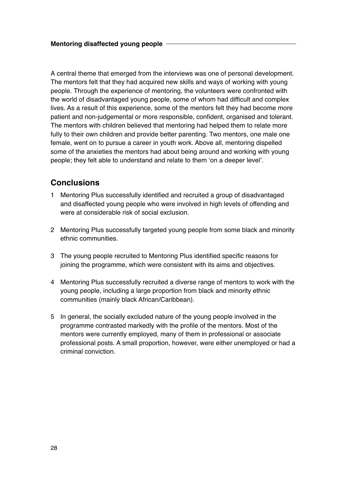A central theme that emerged from the interviews was one of personal development. The mentors felt that they had acquired new skills and ways of working with young people. Through the experience of mentoring, the volunteers were confronted with the world of disadvantaged young people, some of whom had difficult and complex lives. As a result of this experience, some of the mentors felt they had become more patient and non-judgemental or more responsible, confident, organised and tolerant. The mentors with children believed that mentoring had helped them to relate more fully to their own children and provide better parenting. Two mentors, one male one female, went on to pursue a career in youth work. Above all, mentoring dispelled some of the anxieties the mentors had about being around and working with young people; they felt able to understand and relate to them 'on a deeper level'.

## **Conclusions**

- 1 Mentoring Plus successfully identified and recruited a group of disadvantaged and disaffected young people who were involved in high levels of offending and were at considerable risk of social exclusion.
- 2 Mentoring Plus successfully targeted young people from some black and minority ethnic communities.
- 3 The young people recruited to Mentoring Plus identified specific reasons for joining the programme, which were consistent with its aims and objectives.
- 4 Mentoring Plus successfully recruited a diverse range of mentors to work with the young people, including a large proportion from black and minority ethnic communities (mainly black African/Caribbean).
- 5 In general, the socially excluded nature of the young people involved in the programme contrasted markedly with the profile of the mentors. Most of the mentors were currently employed, many of them in professional or associate professional posts. A small proportion, however, were either unemployed or had a criminal conviction.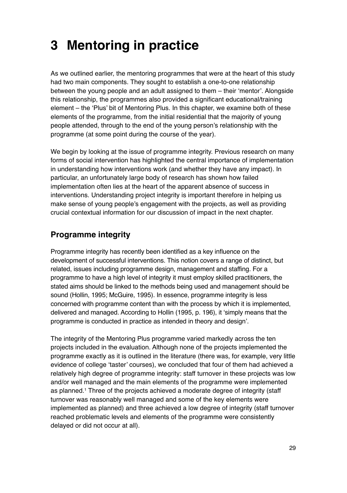# **3 Mentoring in practice**

As we outlined earlier, the mentoring programmes that were at the heart of this study had two main components. They sought to establish a one-to-one relationship between the young people and an adult assigned to them – their 'mentor'. Alongside this relationship, the programmes also provided a significant educational/training element – the 'Plus' bit of Mentoring Plus. In this chapter, we examine both of these elements of the programme, from the initial residential that the majority of young people attended, through to the end of the young person's relationship with the programme (at some point during the course of the year).

We begin by looking at the issue of programme integrity. Previous research on many forms of social intervention has highlighted the central importance of implementation in understanding how interventions work (and whether they have any impact). In particular, an unfortunately large body of research has shown how failed implementation often lies at the heart of the apparent absence of success in interventions. Understanding project integrity is important therefore in helping us make sense of young people's engagement with the projects, as well as providing crucial contextual information for our discussion of impact in the next chapter.

## **Programme integrity**

Programme integrity has recently been identified as a key influence on the development of successful interventions. This notion covers a range of distinct, but related, issues including programme design, management and staffing. For a programme to have a high level of integrity it must employ skilled practitioners, the stated aims should be linked to the methods being used and management should be sound (Hollin, 1995; McGuire, 1995). In essence, programme integrity is less concerned with programme content than with the process by which it is implemented, delivered and managed. According to Hollin (1995, p. 196), it 'simply means that the programme is conducted in practice as intended in theory and design'.

The integrity of the Mentoring Plus programme varied markedly across the ten projects included in the evaluation. Although none of the projects implemented the programme exactly as it is outlined in the literature (there was, for example, very little evidence of college 'taster' courses), we concluded that four of them had achieved a relatively high degree of programme integrity: staff turnover in these projects was low and/or well managed and the main elements of the programme were implemented as planned.<sup>1</sup> Three of the projects achieved a moderate degree of integrity (staff turnover was reasonably well managed and some of the key elements were implemented as planned) and three achieved a low degree of integrity (staff turnover reached problematic levels and elements of the programme were consistently delayed or did not occur at all).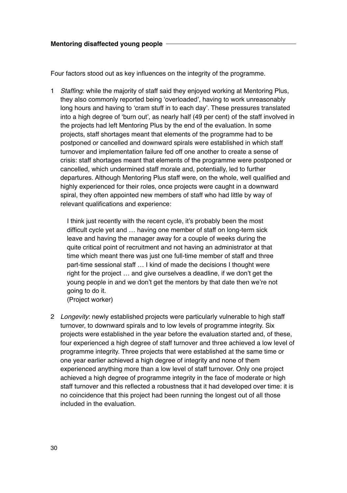Four factors stood out as key influences on the integrity of the programme.

1 Staffing: while the majority of staff said they enjoyed working at Mentoring Plus, they also commonly reported being 'overloaded', having to work unreasonably long hours and having to 'cram stuff in to each day'. These pressures translated into a high degree of 'burn out', as nearly half (49 per cent) of the staff involved in the projects had left Mentoring Plus by the end of the evaluation. In some projects, staff shortages meant that elements of the programme had to be postponed or cancelled and downward spirals were established in which staff turnover and implementation failure fed off one another to create a sense of crisis: staff shortages meant that elements of the programme were postponed or cancelled, which undermined staff morale and, potentially, led to further departures. Although Mentoring Plus staff were, on the whole, well qualified and highly experienced for their roles, once projects were caught in a downward spiral, they often appointed new members of staff who had little by way of relevant qualifications and experience:

I think just recently with the recent cycle, it's probably been the most difficult cycle yet and … having one member of staff on long-term sick leave and having the manager away for a couple of weeks during the quite critical point of recruitment and not having an administrator at that time which meant there was just one full-time member of staff and three part-time sessional staff … I kind of made the decisions I thought were right for the project … and give ourselves a deadline, if we don't get the young people in and we don't get the mentors by that date then we're not going to do it.

(Project worker)

2 Longevity: newly established projects were particularly vulnerable to high staff turnover, to downward spirals and to low levels of programme integrity. Six projects were established in the year before the evaluation started and, of these, four experienced a high degree of staff turnover and three achieved a low level of programme integrity. Three projects that were established at the same time or one year earlier achieved a high degree of integrity and none of them experienced anything more than a low level of staff turnover. Only one project achieved a high degree of programme integrity in the face of moderate or high staff turnover and this reflected a robustness that it had developed over time: it is no coincidence that this project had been running the longest out of all those included in the evaluation.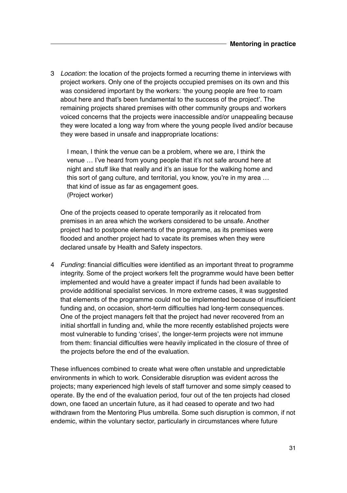3 Location: the location of the projects formed a recurring theme in interviews with project workers. Only one of the projects occupied premises on its own and this was considered important by the workers: 'the young people are free to roam about here and that's been fundamental to the success of the project'. The remaining projects shared premises with other community groups and workers voiced concerns that the projects were inaccessible and/or unappealing because they were located a long way from where the young people lived and/or because they were based in unsafe and inappropriate locations:

I mean, I think the venue can be a problem, where we are, I think the venue … I've heard from young people that it's not safe around here at night and stuff like that really and it's an issue for the walking home and this sort of gang culture, and territorial, you know, you're in my area … that kind of issue as far as engagement goes. (Project worker)

One of the projects ceased to operate temporarily as it relocated from premises in an area which the workers considered to be unsafe. Another project had to postpone elements of the programme, as its premises were flooded and another project had to vacate its premises when they were declared unsafe by Health and Safety inspectors.

4 Funding: financial difficulties were identified as an important threat to programme integrity. Some of the project workers felt the programme would have been better implemented and would have a greater impact if funds had been available to provide additional specialist services. In more extreme cases, it was suggested that elements of the programme could not be implemented because of insufficient funding and, on occasion, short-term difficulties had long-term consequences. One of the project managers felt that the project had never recovered from an initial shortfall in funding and, while the more recently established projects were most vulnerable to funding 'crises', the longer-term projects were not immune from them: financial difficulties were heavily implicated in the closure of three of the projects before the end of the evaluation.

These influences combined to create what were often unstable and unpredictable environments in which to work. Considerable disruption was evident across the projects; many experienced high levels of staff turnover and some simply ceased to operate. By the end of the evaluation period, four out of the ten projects had closed down, one faced an uncertain future, as it had ceased to operate and two had withdrawn from the Mentoring Plus umbrella. Some such disruption is common, if not endemic, within the voluntary sector, particularly in circumstances where future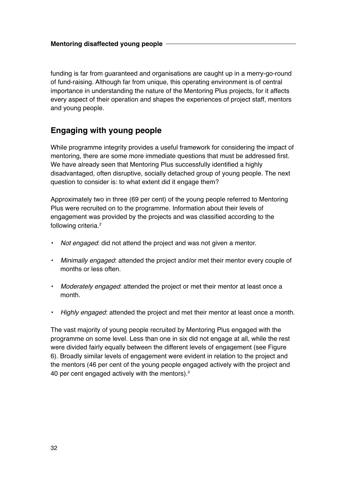funding is far from guaranteed and organisations are caught up in a merry-go-round of fund-raising. Although far from unique, this operating environment is of central importance in understanding the nature of the Mentoring Plus projects, for it affects every aspect of their operation and shapes the experiences of project staff, mentors and young people.

# **Engaging with young people**

While programme integrity provides a useful framework for considering the impact of mentoring, there are some more immediate questions that must be addressed first. We have already seen that Mentoring Plus successfully identified a highly disadvantaged, often disruptive, socially detached group of young people. The next question to consider is: to what extent did it engage them?

Approximately two in three (69 per cent) of the young people referred to Mentoring Plus were recruited on to the programme. Information about their levels of engagement was provided by the projects and was classified according to the following criteria.<sup>2</sup>

- Not engaged: did not attend the project and was not given a mentor.
- Minimally engaged: attended the project and/or met their mentor every couple of months or less often.
- Moderately engaged: attended the project or met their mentor at least once a month.
- Highly engaged: attended the project and met their mentor at least once a month.

The vast majority of young people recruited by Mentoring Plus engaged with the programme on some level. Less than one in six did not engage at all, while the rest were divided fairly equally between the different levels of engagement (see Figure 6). Broadly similar levels of engagement were evident in relation to the project and the mentors (46 per cent of the young people engaged actively with the project and 40 per cent engaged actively with the mentors).3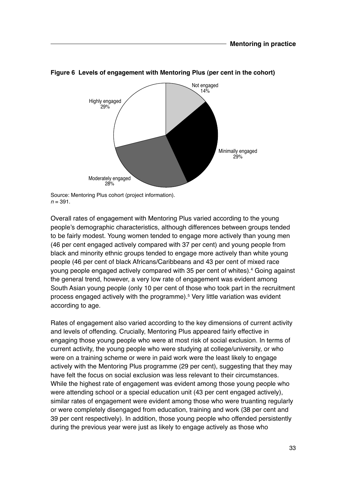

#### **Figure 6 Levels of engagement with Mentoring Plus (per cent in the cohort)**

Overall rates of engagement with Mentoring Plus varied according to the young people's demographic characteristics, although differences between groups tended to be fairly modest. Young women tended to engage more actively than young men (46 per cent engaged actively compared with 37 per cent) and young people from black and minority ethnic groups tended to engage more actively than white young people (46 per cent of black Africans/Caribbeans and 43 per cent of mixed race young people engaged actively compared with 35 per cent of whites).<sup>4</sup> Going against the general trend, however, a very low rate of engagement was evident among South Asian young people (only 10 per cent of those who took part in the recruitment process engaged actively with the programme).<sup>5</sup> Very little variation was evident according to age.

Rates of engagement also varied according to the key dimensions of current activity and levels of offending. Crucially, Mentoring Plus appeared fairly effective in engaging those young people who were at most risk of social exclusion. In terms of current activity, the young people who were studying at college/university, or who were on a training scheme or were in paid work were the least likely to engage actively with the Mentoring Plus programme (29 per cent), suggesting that they may have felt the focus on social exclusion was less relevant to their circumstances. While the highest rate of engagement was evident among those young people who were attending school or a special education unit (43 per cent engaged actively), similar rates of engagement were evident among those who were truanting regularly or were completely disengaged from education, training and work (38 per cent and 39 per cent respectively). In addition, those young people who offended persistently during the previous year were just as likely to engage actively as those who

Source: Mentoring Plus cohort (project information).  $n = 391.$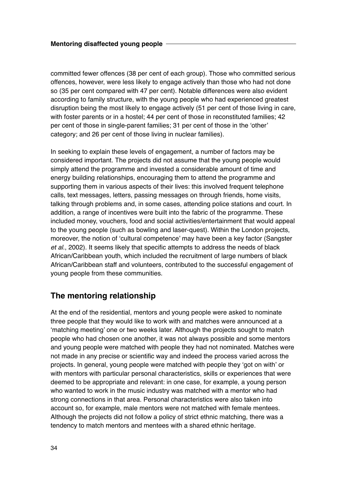committed fewer offences (38 per cent of each group). Those who committed serious offences, however, were less likely to engage actively than those who had not done so (35 per cent compared with 47 per cent). Notable differences were also evident according to family structure, with the young people who had experienced greatest disruption being the most likely to engage actively (51 per cent of those living in care, with foster parents or in a hostel; 44 per cent of those in reconstituted families; 42 per cent of those in single-parent families; 31 per cent of those in the 'other' category; and 26 per cent of those living in nuclear families).

In seeking to explain these levels of engagement, a number of factors may be considered important. The projects did not assume that the young people would simply attend the programme and invested a considerable amount of time and energy building relationships, encouraging them to attend the programme and supporting them in various aspects of their lives: this involved frequent telephone calls, text messages, letters, passing messages on through friends, home visits, talking through problems and, in some cases, attending police stations and court. In addition, a range of incentives were built into the fabric of the programme. These included money, vouchers, food and social activities/entertainment that would appeal to the young people (such as bowling and laser-quest). Within the London projects, moreover, the notion of 'cultural competence' may have been a key factor (Sangster et al., 2002). It seems likely that specific attempts to address the needs of black African/Caribbean youth, which included the recruitment of large numbers of black African/Caribbean staff and volunteers, contributed to the successful engagement of young people from these communities.

# **The mentoring relationship**

At the end of the residential, mentors and young people were asked to nominate three people that they would like to work with and matches were announced at a 'matching meeting' one or two weeks later. Although the projects sought to match people who had chosen one another, it was not always possible and some mentors and young people were matched with people they had not nominated. Matches were not made in any precise or scientific way and indeed the process varied across the projects. In general, young people were matched with people they 'got on with' or with mentors with particular personal characteristics, skills or experiences that were deemed to be appropriate and relevant: in one case, for example, a young person who wanted to work in the music industry was matched with a mentor who had strong connections in that area. Personal characteristics were also taken into account so, for example, male mentors were not matched with female mentees. Although the projects did not follow a policy of strict ethnic matching, there was a tendency to match mentors and mentees with a shared ethnic heritage.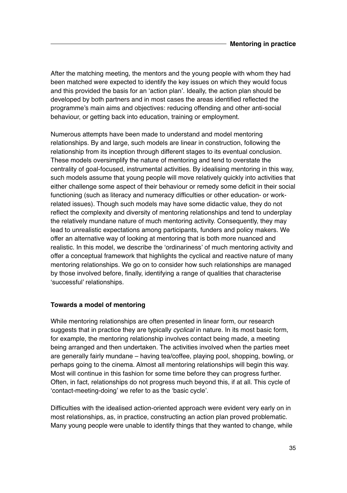After the matching meeting, the mentors and the young people with whom they had been matched were expected to identify the key issues on which they would focus and this provided the basis for an 'action plan'. Ideally, the action plan should be developed by both partners and in most cases the areas identified reflected the programme's main aims and objectives: reducing offending and other anti-social behaviour, or getting back into education, training or employment.

Numerous attempts have been made to understand and model mentoring relationships. By and large, such models are linear in construction, following the relationship from its inception through different stages to its eventual conclusion. These models oversimplify the nature of mentoring and tend to overstate the centrality of goal-focused, instrumental activities. By idealising mentoring in this way, such models assume that young people will move relatively quickly into activities that either challenge some aspect of their behaviour or remedy some deficit in their social functioning (such as literacy and numeracy difficulties or other education- or workrelated issues). Though such models may have some didactic value, they do not reflect the complexity and diversity of mentoring relationships and tend to underplay the relatively mundane nature of much mentoring activity. Consequently, they may lead to unrealistic expectations among participants, funders and policy makers. We offer an alternative way of looking at mentoring that is both more nuanced and realistic. In this model, we describe the 'ordinariness' of much mentoring activity and offer a conceptual framework that highlights the cyclical and reactive nature of many mentoring relationships. We go on to consider how such relationships are managed by those involved before, finally, identifying a range of qualities that characterise 'successful' relationships.

## *Towards a model of mentoring*

While mentoring relationships are often presented in linear form, our research suggests that in practice they are typically *cyclical* in nature. In its most basic form, for example, the mentoring relationship involves contact being made, a meeting being arranged and then undertaken. The activities involved when the parties meet are generally fairly mundane – having tea/coffee, playing pool, shopping, bowling, or perhaps going to the cinema. Almost all mentoring relationships will begin this way. Most will continue in this fashion for some time before they can progress further. Often, in fact, relationships do not progress much beyond this, if at all. This cycle of 'contact-meeting-doing' we refer to as the 'basic cycle'.

Difficulties with the idealised action-oriented approach were evident very early on in most relationships, as, in practice, constructing an action plan proved problematic. Many young people were unable to identify things that they wanted to change, while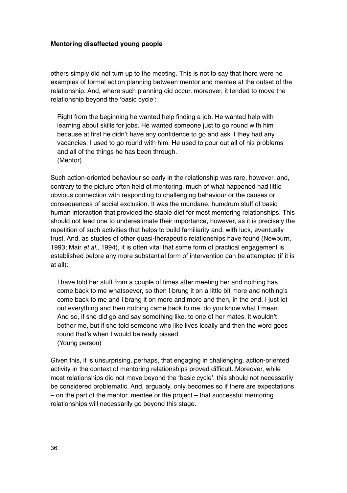others simply did not turn up to the meeting. This is not to say that there were no examples of formal action planning between mentor and mentee at the outset of the relationship. And, where such planning did occur, moreover, it tended to move the relationship beyond the 'basic cycle':

Right from the beginning he wanted help finding a job. He wanted help with learning about skills for jobs. He wanted someone just to go round with him because at first he didn't have any confidence to go and ask if they had any vacancies. I used to go round with him. He used to pour out all of his problems and all of the things he has been through. (Mentor)

Such action-oriented behaviour so early in the relationship was rare, however, and, contrary to the picture often held of mentoring, much of what happened had little obvious connection with responding to challenging behaviour or the causes or consequences of social exclusion. It was the mundane, humdrum stuff of basic human interaction that provided the staple diet for most mentoring relationships. This should not lead one to underestimate their importance, however, as it is precisely the repetition of such activities that helps to build familiarity and, with luck, eventually trust. And, as studies of other quasi-therapeutic relationships have found (Newburn, 1993; Mair et al., 1994), it is often vital that some form of practical engagement is established before any more substantial form of intervention can be attempted (if it is at all):

I have told her stuff from a couple of times after meeting her and nothing has come back to me whatsoever, so then I brung it on a little bit more and nothing's come back to me and I brang it on more and more and then, in the end, I just let out everything and then nothing came back to me, do you know what I mean. And so, if she did go and say something like, to one of her mates, it wouldn't bother me, but if she told someone who like lives locally and then the word goes round that's when I would be really pissed. (Young person)

Given this, it is unsurprising, perhaps, that engaging in challenging, action-oriented activity in the context of mentoring relationships proved difficult. Moreover, while most relationships did not move beyond the 'basic cycle', this should not necessarily be considered problematic. And, arguably, only becomes so if there are expectations – on the part of the mentor, mentee or the project – that successful mentoring relationships will necessarily go beyond this stage.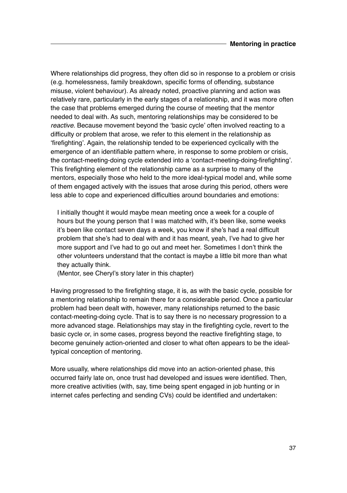Where relationships did progress, they often did so in response to a problem or crisis (e.g. homelessness, family breakdown, specific forms of offending, substance misuse, violent behaviour). As already noted, proactive planning and action was relatively rare, particularly in the early stages of a relationship, and it was more often the case that problems emerged during the course of meeting that the mentor needed to deal with. As such, mentoring relationships may be considered to be reactive. Because movement beyond the 'basic cycle' often involved reacting to a difficulty or problem that arose, we refer to this element in the relationship as 'firefighting'. Again, the relationship tended to be experienced cyclically with the emergence of an identifiable pattern where, in response to some problem or crisis, the contact-meeting-doing cycle extended into a 'contact-meeting-doing-firefighting'. This firefighting element of the relationship came as a surprise to many of the mentors, especially those who held to the more ideal-typical model and, while some of them engaged actively with the issues that arose during this period, others were less able to cope and experienced difficulties around boundaries and emotions:

I initially thought it would maybe mean meeting once a week for a couple of hours but the young person that I was matched with, it's been like, some weeks it's been like contact seven days a week, you know if she's had a real difficult problem that she's had to deal with and it has meant, yeah, I've had to give her more support and I've had to go out and meet her. Sometimes I don't think the other volunteers understand that the contact is maybe a little bit more than what they actually think.

(Mentor, see Cheryl's story later in this chapter)

Having progressed to the firefighting stage, it is, as with the basic cycle, possible for a mentoring relationship to remain there for a considerable period. Once a particular problem had been dealt with, however, many relationships returned to the basic contact-meeting-doing cycle. That is to say there is no necessary progression to a more advanced stage. Relationships may stay in the firefighting cycle, revert to the basic cycle or, in some cases, progress beyond the reactive firefighting stage, to become genuinely action-oriented and closer to what often appears to be the idealtypical conception of mentoring.

More usually, where relationships did move into an action-oriented phase, this occurred fairly late on, once trust had developed and issues were identified. Then, more creative activities (with, say, time being spent engaged in job hunting or in internet cafes perfecting and sending CVs) could be identified and undertaken: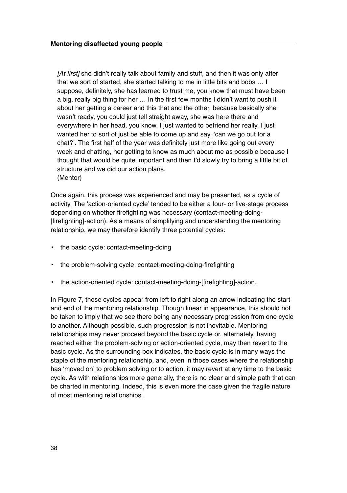[At first] she didn't really talk about family and stuff, and then it was only after that we sort of started, she started talking to me in little bits and bobs … I suppose, definitely, she has learned to trust me, you know that must have been a big, really big thing for her … In the first few months I didn't want to push it about her getting a career and this that and the other, because basically she wasn't ready, you could just tell straight away, she was here there and everywhere in her head, you know. I just wanted to befriend her really, I just wanted her to sort of just be able to come up and say, 'can we go out for a chat?'. The first half of the year was definitely just more like going out every week and chatting, her getting to know as much about me as possible because I thought that would be quite important and then I'd slowly try to bring a little bit of structure and we did our action plans. (Mentor)

Once again, this process was experienced and may be presented, as a cycle of activity. The 'action-oriented cycle' tended to be either a four- or five-stage process depending on whether firefighting was necessary (contact-meeting-doing- [firefighting]-action). As a means of simplifying and understanding the mentoring relationship, we may therefore identify three potential cycles:

- the basic cycle: contact-meeting-doing
- the problem-solving cycle: contact-meeting-doing-firefighting
- the action-oriented cycle: contact-meeting-doing-[firefighting]-action.

In Figure 7, these cycles appear from left to right along an arrow indicating the start and end of the mentoring relationship. Though linear in appearance, this should not be taken to imply that we see there being any necessary progression from one cycle to another. Although possible, such progression is not inevitable. Mentoring relationships may never proceed beyond the basic cycle or, alternately, having reached either the problem-solving or action-oriented cycle, may then revert to the basic cycle. As the surrounding box indicates, the basic cycle is in many ways the staple of the mentoring relationship, and, even in those cases where the relationship has 'moved on' to problem solving or to action, it may revert at any time to the basic cycle. As with relationships more generally, there is no clear and simple path that can be charted in mentoring. Indeed, this is even more the case given the fragile nature of most mentoring relationships.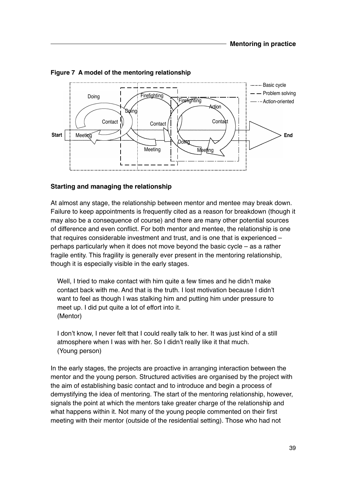

## **Figure 7 A model of the mentoring relationship**

## *Starting and managing the relationship*

At almost any stage, the relationship between mentor and mentee may break down. Failure to keep appointments is frequently cited as a reason for breakdown (though it may also be a consequence of course) and there are many other potential sources of difference and even conflict. For both mentor and mentee, the relationship is one that requires considerable investment and trust, and is one that is experienced – perhaps particularly when it does not move beyond the basic cycle – as a rather fragile entity. This fragility is generally ever present in the mentoring relationship, though it is especially visible in the early stages.

Well, I tried to make contact with him quite a few times and he didn't make contact back with me. And that is the truth. I lost motivation because I didn't want to feel as though I was stalking him and putting him under pressure to meet up. I did put quite a lot of effort into it. (Mentor)

I don't know, I never felt that I could really talk to her. It was just kind of a still atmosphere when I was with her. So I didn't really like it that much. (Young person)

In the early stages, the projects are proactive in arranging interaction between the mentor and the young person. Structured activities are organised by the project with the aim of establishing basic contact and to introduce and begin a process of demystifying the idea of mentoring. The start of the mentoring relationship, however, signals the point at which the mentors take greater charge of the relationship and what happens within it. Not many of the young people commented on their first meeting with their mentor (outside of the residential setting). Those who had not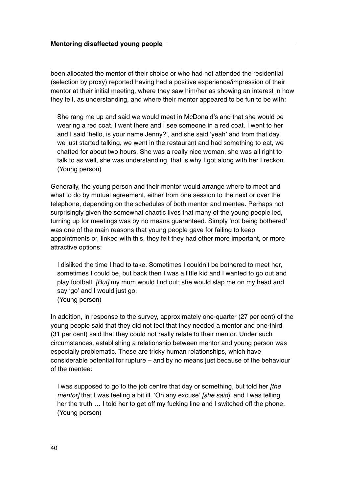been allocated the mentor of their choice or who had not attended the residential (selection by proxy) reported having had a positive experience/impression of their mentor at their initial meeting, where they saw him/her as showing an interest in how they felt, as understanding, and where their mentor appeared to be fun to be with:

She rang me up and said we would meet in McDonald's and that she would be wearing a red coat. I went there and I see someone in a red coat. I went to her and I said 'hello, is your name Jenny?', and she said 'yeah' and from that day we just started talking, we went in the restaurant and had something to eat, we chatted for about two hours. She was a really nice woman, she was all right to talk to as well, she was understanding, that is why I got along with her I reckon. (Young person)

Generally, the young person and their mentor would arrange where to meet and what to do by mutual agreement, either from one session to the next or over the telephone, depending on the schedules of both mentor and mentee. Perhaps not surprisingly given the somewhat chaotic lives that many of the young people led, turning up for meetings was by no means guaranteed. Simply 'not being bothered' was one of the main reasons that young people gave for failing to keep appointments or, linked with this, they felt they had other more important, or more attractive options:

I disliked the time I had to take. Sometimes I couldn't be bothered to meet her, sometimes I could be, but back then I was a little kid and I wanted to go out and play football. [But] my mum would find out; she would slap me on my head and say 'go' and I would just go. (Young person)

In addition, in response to the survey, approximately one-quarter (27 per cent) of the young people said that they did not feel that they needed a mentor and one-third (31 per cent) said that they could not really relate to their mentor. Under such circumstances, establishing a relationship between mentor and young person was especially problematic. These are tricky human relationships, which have considerable potential for rupture – and by no means just because of the behaviour of the mentee:

I was supposed to go to the job centre that day or something, but told her *[the*] mentor] that I was feeling a bit ill. 'Oh any excuse' [she said], and I was telling her the truth … I told her to get off my fucking line and I switched off the phone. (Young person)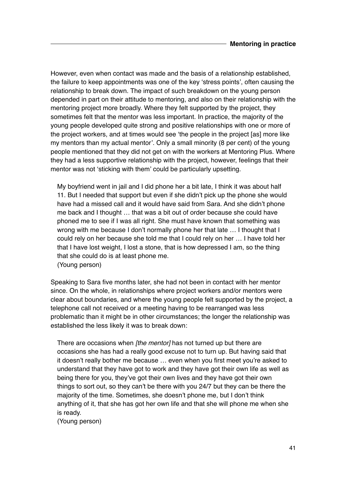However, even when contact was made and the basis of a relationship established, the failure to keep appointments was one of the key 'stress points', often causing the relationship to break down. The impact of such breakdown on the young person depended in part on their attitude to mentoring, and also on their relationship with the mentoring project more broadly. Where they felt supported by the project, they sometimes felt that the mentor was less important. In practice, the majority of the young people developed quite strong and positive relationships with one or more of the project workers, and at times would see 'the people in the project [as] more like my mentors than my actual mentor'. Only a small minority (8 per cent) of the young people mentioned that they did not get on with the workers at Mentoring Plus. Where they had a less supportive relationship with the project, however, feelings that their mentor was not 'sticking with them' could be particularly upsetting.

My boyfriend went in jail and I did phone her a bit late, I think it was about half 11. But I needed that support but even if she didn't pick up the phone she would have had a missed call and it would have said from Sara. And she didn't phone me back and I thought … that was a bit out of order because she could have phoned me to see if I was all right. She must have known that something was wrong with me because I don't normally phone her that late … I thought that I could rely on her because she told me that I could rely on her … I have told her that I have lost weight, I lost a stone, that is how depressed I am, so the thing that she could do is at least phone me. (Young person)

Speaking to Sara five months later, she had not been in contact with her mentor since. On the whole, in relationships where project workers and/or mentors were clear about boundaries, and where the young people felt supported by the project, a telephone call not received or a meeting having to be rearranged was less problematic than it might be in other circumstances; the longer the relationship was established the less likely it was to break down:

There are occasions when [the mentor] has not turned up but there are occasions she has had a really good excuse not to turn up. But having said that it doesn't really bother me because … even when you first meet you're asked to understand that they have got to work and they have got their own life as well as being there for you, they've got their own lives and they have got their own things to sort out, so they can't be there with you 24/7 but they can be there the majority of the time. Sometimes, she doesn't phone me, but I don't think anything of it, that she has got her own life and that she will phone me when she is ready.

(Young person)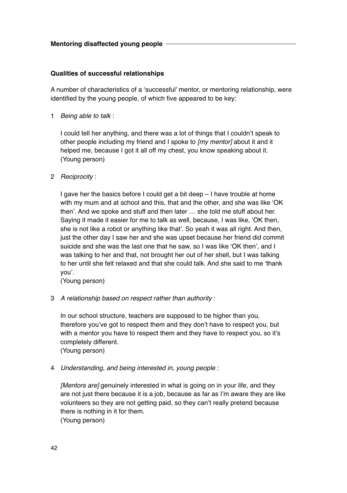## *Qualities of successful relationships*

A number of characteristics of a 'successful' mentor, or mentoring relationship, were identified by the young people, of which five appeared to be key:

1 Being able to talk :

I could tell her anything, and there was a lot of things that I couldn't speak to other people including my friend and I spoke to [my mentor] about it and it helped me, because I got it all off my chest, you know speaking about it. (Young person)

2 Reciprocity :

I gave her the basics before I could get a bit deep – I have trouble at home with my mum and at school and this, that and the other, and she was like 'OK then'. And we spoke and stuff and then later … she told me stuff about her. Saying it made it easier for me to talk as well, because, I was like, 'OK then, she is not like a robot or anything like that'. So yeah it was all right. And then, just the other day I saw her and she was upset because her friend did commit suicide and she was the last one that he saw, so I was like 'OK then', and I was talking to her and that, not brought her out of her shell, but I was talking to her until she felt relaxed and that she could talk. And she said to me 'thank you'.

(Young person)

3 A relationship based on respect rather than authority :

In our school structure, teachers are supposed to be higher than you, therefore you've got to respect them and they don't have to respect you, but with a mentor you have to respect them and they have to respect you, so it's completely different.

(Young person)

4 Understanding, and being interested in, young people :

[Mentors are] genuinely interested in what is going on in your life, and they are not just there because it is a job, because as far as I'm aware they are like volunteers so they are not getting paid, so they can't really pretend because there is nothing in it for them. (Young person)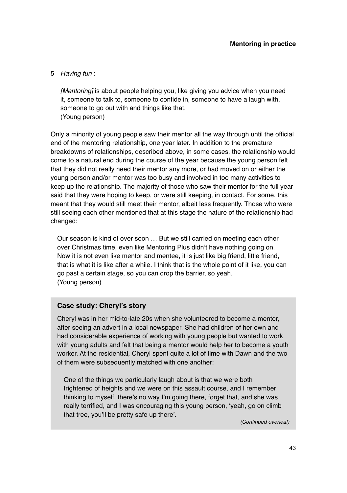5 Having fun :

[Mentoring] is about people helping you, like giving you advice when you need it, someone to talk to, someone to confide in, someone to have a laugh with, someone to go out with and things like that. (Young person)

Only a minority of young people saw their mentor all the way through until the official end of the mentoring relationship, one year later. In addition to the premature breakdowns of relationships, described above, in some cases, the relationship would come to a natural end during the course of the year because the young person felt that they did not really need their mentor any more, or had moved on or either the young person and/or mentor was too busy and involved in too many activities to keep up the relationship. The majority of those who saw their mentor for the full year said that they were hoping to keep, or were still keeping, in contact. For some, this meant that they would still meet their mentor, albeit less frequently. Those who were still seeing each other mentioned that at this stage the nature of the relationship had changed:

Our season is kind of over soon … But we still carried on meeting each other over Christmas time, even like Mentoring Plus didn't have nothing going on. Now it is not even like mentor and mentee, it is just like big friend, little friend, that is what it is like after a while. I think that is the whole point of it like, you can go past a certain stage, so you can drop the barrier, so yeah. (Young person)

# **Case study: Cheryl's story**

Cheryl was in her mid-to-late 20s when she volunteered to become a mentor, after seeing an advert in a local newspaper. She had children of her own and had considerable experience of working with young people but wanted to work with young adults and felt that being a mentor would help her to become a youth worker. At the residential, Cheryl spent quite a lot of time with Dawn and the two of them were subsequently matched with one another:

One of the things we particularly laugh about is that we were both frightened of heights and we were on this assault course, and I remember thinking to myself, there's no way I'm going there, forget that, and she was really terrified, and I was encouraging this young person, 'yeah, go on climb that tree, you'll be pretty safe up there'.

(Continued overleaf)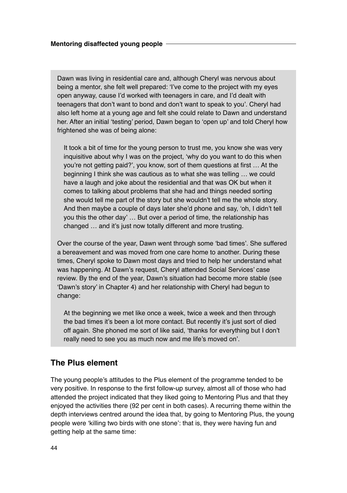Dawn was living in residential care and, although Cheryl was nervous about being a mentor, she felt well prepared: 'I've come to the project with my eyes open anyway, cause I'd worked with teenagers in care, and I'd dealt with teenagers that don't want to bond and don't want to speak to you'. Cheryl had also left home at a young age and felt she could relate to Dawn and understand her. After an initial 'testing' period, Dawn began to 'open up' and told Cheryl how frightened she was of being alone:

It took a bit of time for the young person to trust me, you know she was very inquisitive about why I was on the project, 'why do you want to do this when you're not getting paid?', you know, sort of them questions at first … At the beginning I think she was cautious as to what she was telling … we could have a laugh and joke about the residential and that was OK but when it comes to talking about problems that she had and things needed sorting she would tell me part of the story but she wouldn't tell me the whole story. And then maybe a couple of days later she'd phone and say, 'oh, I didn't tell you this the other day' … But over a period of time, the relationship has changed … and it's just now totally different and more trusting.

Over the course of the year, Dawn went through some 'bad times'. She suffered a bereavement and was moved from one care home to another. During these times, Cheryl spoke to Dawn most days and tried to help her understand what was happening. At Dawn's request, Cheryl attended Social Services' case review. By the end of the year, Dawn's situation had become more stable (see 'Dawn's story' in Chapter 4) and her relationship with Cheryl had begun to change:

At the beginning we met like once a week, twice a week and then through the bad times it's been a lot more contact. But recently it's just sort of died off again. She phoned me sort of like said, 'thanks for everything but I don't really need to see you as much now and me life's moved on'.

## **The Plus element**

The young people's attitudes to the Plus element of the programme tended to be very positive. In response to the first follow-up survey, almost all of those who had attended the project indicated that they liked going to Mentoring Plus and that they enjoyed the activities there (92 per cent in both cases). A recurring theme within the depth interviews centred around the idea that, by going to Mentoring Plus, the young people were 'killing two birds with one stone': that is, they were having fun and getting help at the same time: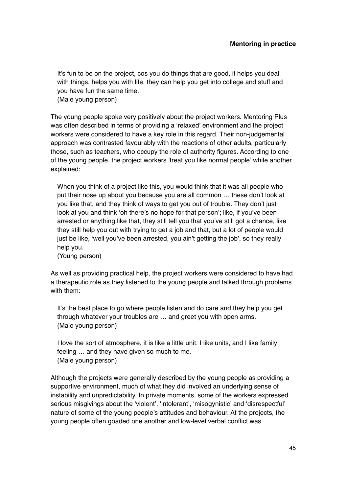It's fun to be on the project, cos you do things that are good, it helps you deal with things, helps you with life, they can help you get into college and stuff and you have fun the same time.

(Male young person)

The young people spoke very positively about the project workers. Mentoring Plus was often described in terms of providing a 'relaxed' environment and the project workers were considered to have a key role in this regard. Their non-judgemental approach was contrasted favourably with the reactions of other adults, particularly those, such as teachers, who occupy the role of authority figures. According to one of the young people, the project workers 'treat you like normal people' while another explained:

When you think of a project like this, you would think that it was all people who put their nose up about you because you are all common … these don't look at you like that, and they think of ways to get you out of trouble. They don't just look at you and think 'oh there's no hope for that person'; like, if you've been arrested or anything like that, they still tell you that you've still got a chance, like they still help you out with trying to get a job and that, but a lot of people would just be like, 'well you've been arrested, you ain't getting the job', so they really help you.

(Young person)

As well as providing practical help, the project workers were considered to have had a therapeutic role as they listened to the young people and talked through problems with them:

It's the best place to go where people listen and do care and they help you get through whatever your troubles are … and greet you with open arms. (Male young person)

I love the sort of atmosphere, it is like a little unit. I like units, and I like family feeling … and they have given so much to me. (Male young person)

Although the projects were generally described by the young people as providing a supportive environment, much of what they did involved an underlying sense of instability and unpredictability. In private moments, some of the workers expressed serious misgivings about the 'violent', 'intolerant', 'misogynistic' and 'disrespectful' nature of some of the young people's attitudes and behaviour. At the projects, the young people often goaded one another and low-level verbal conflict was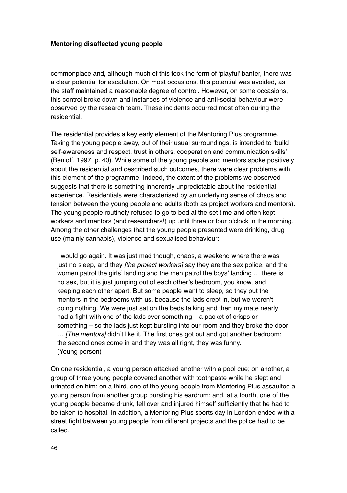commonplace and, although much of this took the form of 'playful' banter, there was a clear potential for escalation. On most occasions, this potential was avoided, as the staff maintained a reasonable degree of control. However, on some occasions, this control broke down and instances of violence and anti-social behaviour were observed by the research team. These incidents occurred most often during the residential.

The residential provides a key early element of the Mentoring Plus programme. Taking the young people away, out of their usual surroundings, is intended to 'build self-awareness and respect, trust in others, cooperation and communication skills' (Benioff, 1997, p. 40). While some of the young people and mentors spoke positively about the residential and described such outcomes, there were clear problems with this element of the programme. Indeed, the extent of the problems we observed suggests that there is something inherently unpredictable about the residential experience. Residentials were characterised by an underlying sense of chaos and tension between the young people and adults (both as project workers and mentors). The young people routinely refused to go to bed at the set time and often kept workers and mentors (and researchers!) up until three or four o'clock in the morning. Among the other challenges that the young people presented were drinking, drug use (mainly cannabis), violence and sexualised behaviour:

I would go again. It was just mad though, chaos, a weekend where there was just no sleep, and they *[the project workers]* say they are the sex police, and the women patrol the girls' landing and the men patrol the boys' landing … there is no sex, but it is just jumping out of each other's bedroom, you know, and keeping each other apart. But some people want to sleep, so they put the mentors in the bedrooms with us, because the lads crept in, but we weren't doing nothing. We were just sat on the beds talking and then my mate nearly had a fight with one of the lads over something – a packet of crisps or something – so the lads just kept bursting into our room and they broke the door ... *[The mentors]* didn't like it. The first ones got out and got another bedroom; the second ones come in and they was all right, they was funny. (Young person)

On one residential, a young person attacked another with a pool cue; on another, a group of three young people covered another with toothpaste while he slept and urinated on him; on a third, one of the young people from Mentoring Plus assaulted a young person from another group bursting his eardrum; and, at a fourth, one of the young people became drunk, fell over and injured himself sufficiently that he had to be taken to hospital. In addition, a Mentoring Plus sports day in London ended with a street fight between young people from different projects and the police had to be called.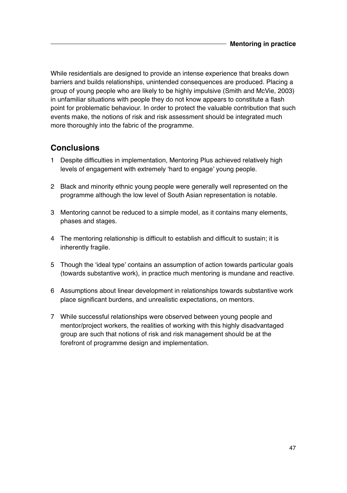While residentials are designed to provide an intense experience that breaks down barriers and builds relationships, unintended consequences are produced. Placing a group of young people who are likely to be highly impulsive (Smith and McVie, 2003) in unfamiliar situations with people they do not know appears to constitute a flash point for problematic behaviour. In order to protect the valuable contribution that such events make, the notions of risk and risk assessment should be integrated much more thoroughly into the fabric of the programme.

# **Conclusions**

- 1 Despite difficulties in implementation, Mentoring Plus achieved relatively high levels of engagement with extremely 'hard to engage' young people.
- 2 Black and minority ethnic young people were generally well represented on the programme although the low level of South Asian representation is notable.
- 3 Mentoring cannot be reduced to a simple model, as it contains many elements, phases and stages.
- 4 The mentoring relationship is difficult to establish and difficult to sustain; it is inherently fragile.
- 5 Though the 'ideal type' contains an assumption of action towards particular goals (towards substantive work), in practice much mentoring is mundane and reactive.
- 6 Assumptions about linear development in relationships towards substantive work place significant burdens, and unrealistic expectations, on mentors.
- 7 While successful relationships were observed between young people and mentor/project workers, the realities of working with this highly disadvantaged group are such that notions of risk and risk management should be at the forefront of programme design and implementation.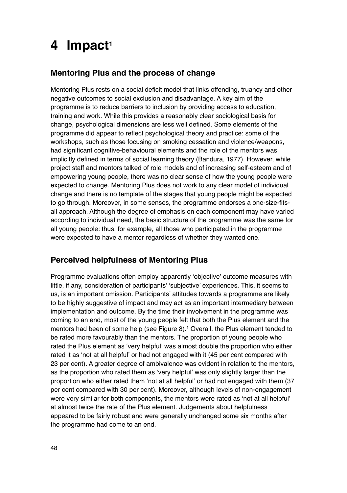# **4 Impact1**

# **Mentoring Plus and the process of change**

Mentoring Plus rests on a social deficit model that links offending, truancy and other negative outcomes to social exclusion and disadvantage. A key aim of the programme is to reduce barriers to inclusion by providing access to education, training and work. While this provides a reasonably clear sociological basis for change, psychological dimensions are less well defined. Some elements of the programme did appear to reflect psychological theory and practice: some of the workshops, such as those focusing on smoking cessation and violence/weapons, had significant cognitive-behavioural elements and the role of the mentors was implicitly defined in terms of social learning theory (Bandura, 1977). However, while project staff and mentors talked of role models and of increasing self-esteem and of empowering young people, there was no clear sense of how the young people were expected to change. Mentoring Plus does not work to any clear model of individual change and there is no template of the stages that young people might be expected to go through. Moreover, in some senses, the programme endorses a one-size-fitsall approach. Although the degree of emphasis on each component may have varied according to individual need, the basic structure of the programme was the same for all young people: thus, for example, all those who participated in the programme were expected to have a mentor regardless of whether they wanted one.

# **Perceived helpfulness of Mentoring Plus**

Programme evaluations often employ apparently 'objective' outcome measures with little, if any, consideration of participants' 'subjective' experiences. This, it seems to us, is an important omission. Participants' attitudes towards a programme are likely to be highly suggestive of impact and may act as an important intermediary between implementation and outcome. By the time their involvement in the programme was coming to an end, most of the young people felt that both the Plus element and the mentors had been of some help (see Figure 8).<sup>1</sup> Overall, the Plus element tended to be rated more favourably than the mentors. The proportion of young people who rated the Plus element as 'very helpful' was almost double the proportion who either rated it as 'not at all helpful' or had not engaged with it (45 per cent compared with 23 per cent). A greater degree of ambivalence was evident in relation to the mentors, as the proportion who rated them as 'very helpful' was only slightly larger than the proportion who either rated them 'not at all helpful' or had not engaged with them (37 per cent compared with 30 per cent). Moreover, although levels of non-engagement were very similar for both components, the mentors were rated as 'not at all helpful' at almost twice the rate of the Plus element. Judgements about helpfulness appeared to be fairly robust and were generally unchanged some six months after the programme had come to an end.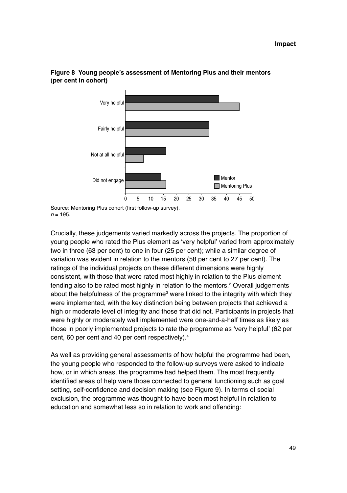

## **Figure 8 Young people's assessment of Mentoring Plus and their mentors (per cent in cohort)**

Source: Mentoring Plus cohort (first follow-up survey).  $n = 195.$ 

Crucially, these judgements varied markedly across the projects. The proportion of young people who rated the Plus element as 'very helpful' varied from approximately two in three (63 per cent) to one in four (25 per cent); while a similar degree of variation was evident in relation to the mentors (58 per cent to 27 per cent). The ratings of the individual projects on these different dimensions were highly consistent, with those that were rated most highly in relation to the Plus element tending also to be rated most highly in relation to the mentors.<sup>2</sup> Overall judgements about the helpfulness of the programme<sup>3</sup> were linked to the integrity with which they were implemented, with the key distinction being between projects that achieved a high or moderate level of integrity and those that did not. Participants in projects that were highly or moderately well implemented were one-and-a-half times as likely as those in poorly implemented projects to rate the programme as 'very helpful' (62 per cent, 60 per cent and 40 per cent respectively).4

As well as providing general assessments of how helpful the programme had been, the young people who responded to the follow-up surveys were asked to indicate how, or in which areas, the programme had helped them. The most frequently identified areas of help were those connected to general functioning such as goal setting, self-confidence and decision making (see Figure 9). In terms of social exclusion, the programme was thought to have been most helpful in relation to education and somewhat less so in relation to work and offending: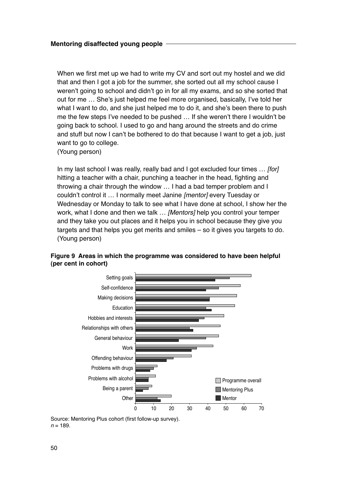When we first met up we had to write my CV and sort out my hostel and we did that and then I got a job for the summer, she sorted out all my school cause I weren't going to school and didn't go in for all my exams, and so she sorted that out for me … She's just helped me feel more organised, basically, I've told her what I want to do, and she just helped me to do it, and she's been there to push me the few steps I've needed to be pushed … If she weren't there I wouldn't be going back to school. I used to go and hang around the streets and do crime and stuff but now I can't be bothered to do that because I want to get a job, just want to go to college. (Young person)

In my last school I was really, really bad and I got excluded four times ... [for] hitting a teacher with a chair, punching a teacher in the head, fighting and throwing a chair through the window … I had a bad temper problem and I couldn't control it … I normally meet Janine [mentor] every Tuesday or Wednesday or Monday to talk to see what I have done at school, I show her the work, what I done and then we talk ... [Mentors] help you control your temper and they take you out places and it helps you in school because they give you targets and that helps you get merits and smiles – so it gives you targets to do. (Young person)





Source: Mentoring Plus cohort (first follow-up survey).  $n = 189.$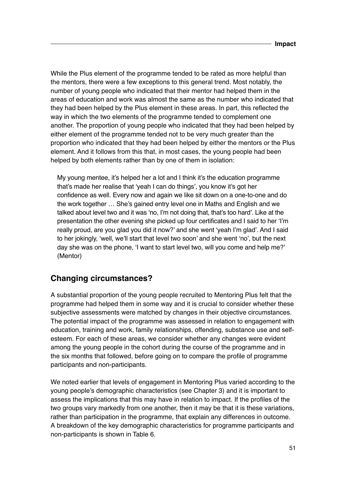While the Plus element of the programme tended to be rated as more helpful than the mentors, there were a few exceptions to this general trend. Most notably, the number of young people who indicated that their mentor had helped them in the areas of education and work was almost the same as the number who indicated that they had been helped by the Plus element in these areas. In part, this reflected the way in which the two elements of the programme tended to complement one another. The proportion of young people who indicated that they had been helped by either element of the programme tended not to be very much greater than the proportion who indicated that they had been helped by either the mentors or the Plus element. And it follows from this that, in most cases, the young people had been helped by both elements rather than by one of them in isolation:

My young mentee, it's helped her a lot and I think it's the education programme that's made her realise that 'yeah I can do things', you know it's got her confidence as well. Every now and again we like sit down on a one-to-one and do the work together … She's gained entry level one in Maths and English and we talked about level two and it was 'no, I'm not doing that, that's too hard'. Like at the presentation the other evening she picked up four certificates and I said to her 'I'm really proud, are you glad you did it now?' and she went 'yeah I'm glad'. And I said to her jokingly, 'well, we'll start that level two soon' and she went 'no', but the next day she was on the phone, 'I want to start level two, will you come and help me?' (Mentor)

# **Changing circumstances?**

A substantial proportion of the young people recruited to Mentoring Plus felt that the programme had helped them in some way and it is crucial to consider whether these subjective assessments were matched by changes in their objective circumstances. The potential impact of the programme was assessed in relation to engagement with education, training and work, family relationships, offending, substance use and selfesteem. For each of these areas, we consider whether any changes were evident among the young people in the cohort during the course of the programme and in the six months that followed, before going on to compare the profile of programme participants and non-participants.

We noted earlier that levels of engagement in Mentoring Plus varied according to the young people's demographic characteristics (see Chapter 3) and it is important to assess the implications that this may have in relation to impact. If the profiles of the two groups vary markedly from one another, then it may be that it is these variations, rather than participation in the programme, that explain any differences in outcome. A breakdown of the key demographic characteristics for programme participants and non-participants is shown in Table 6.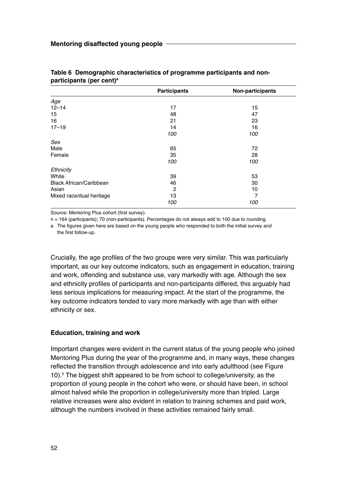|                                | <b>Participants</b> | Non-participants |
|--------------------------------|---------------------|------------------|
| Age                            |                     |                  |
| $12 - 14$                      | 17                  | 15               |
| 15                             | 48                  | 47               |
| 16                             | 21                  | 23               |
| $17 - 19$                      | 14                  | 16               |
|                                | 100                 | 100              |
| Sex                            |                     |                  |
| Male                           | 65                  | 72               |
| Female                         | 35                  | 28               |
|                                | 100                 | 100              |
| Ethnicity                      |                     |                  |
| White                          | 39                  | 53               |
| <b>Black African/Caribbean</b> | 46                  | 30               |
| Asian                          | $\overline{c}$      | 10               |
| Mixed race/dual heritage       | 13                  | 7                |
|                                | 100                 | 100              |

## **Table 6 Demographic characteristics of programme participants and nonparticipants (per cent)a**

Source: Mentoring Plus cohort (first survey).

n = 164 (participants); 70 (non-participants). Percentages do not always add to 100 due to rounding.

a The figures given here are based on the young people who responded to both the initial survey and the first follow-up.

Crucially, the age profiles of the two groups were very similar. This was particularly important, as our key outcome indicators, such as engagement in education, training and work, offending and substance use, vary markedly with age. Although the sex and ethnicity profiles of participants and non-participants differed, this arguably had less serious implications for measuring impact. At the start of the programme, the key outcome indicators tended to vary more markedly with age than with either ethnicity or sex.

## *Education, training and work*

Important changes were evident in the current status of the young people who joined Mentoring Plus during the year of the programme and, in many ways, these changes reflected the transition through adolescence and into early adulthood (see Figure 10).5 The biggest shift appeared to be from school to college/university, as the proportion of young people in the cohort who were, or should have been, in school almost halved while the proportion in college/university more than tripled. Large relative increases were also evident in relation to training schemes and paid work, although the numbers involved in these activities remained fairly small.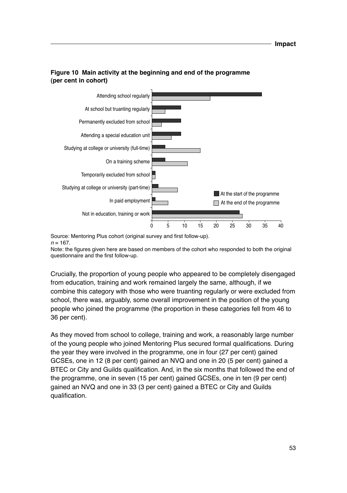## **Figure 10 Main activity at the beginning and end of the programme (per cent in cohort)**



Source: Mentoring Plus cohort (original survey and first follow-up).  $n = 167$ .

Note: the figures given here are based on members of the cohort who responded to both the original questionnaire and the first follow-up.

Crucially, the proportion of young people who appeared to be completely disengaged from education, training and work remained largely the same, although, if we combine this category with those who were truanting regularly or were excluded from school, there was, arguably, some overall improvement in the position of the young people who joined the programme (the proportion in these categories fell from 46 to 36 per cent).

As they moved from school to college, training and work, a reasonably large number of the young people who joined Mentoring Plus secured formal qualifications. During the year they were involved in the programme, one in four (27 per cent) gained GCSEs, one in 12 (8 per cent) gained an NVQ and one in 20 (5 per cent) gained a BTEC or City and Guilds qualification. And, in the six months that followed the end of the programme, one in seven (15 per cent) gained GCSEs, one in ten (9 per cent) gained an NVQ and one in 33 (3 per cent) gained a BTEC or City and Guilds qualification.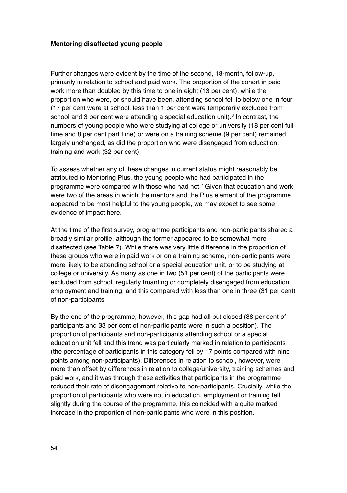Further changes were evident by the time of the second, 18-month, follow-up, primarily in relation to school and paid work. The proportion of the cohort in paid work more than doubled by this time to one in eight (13 per cent); while the proportion who were, or should have been, attending school fell to below one in four (17 per cent were at school, less than 1 per cent were temporarily excluded from school and 3 per cent were attending a special education unit).<sup>6</sup> In contrast, the numbers of young people who were studying at college or university (18 per cent full time and 8 per cent part time) or were on a training scheme (9 per cent) remained largely unchanged, as did the proportion who were disengaged from education, training and work (32 per cent).

To assess whether any of these changes in current status might reasonably be attributed to Mentoring Plus, the young people who had participated in the programme were compared with those who had not.<sup>7</sup> Given that education and work were two of the areas in which the mentors and the Plus element of the programme appeared to be most helpful to the young people, we may expect to see some evidence of impact here.

At the time of the first survey, programme participants and non-participants shared a broadly similar profile, although the former appeared to be somewhat more disaffected (see Table 7). While there was very little difference in the proportion of these groups who were in paid work or on a training scheme, non-participants were more likely to be attending school or a special education unit, or to be studying at college or university. As many as one in two (51 per cent) of the participants were excluded from school, regularly truanting or completely disengaged from education, employment and training, and this compared with less than one in three (31 per cent) of non-participants.

By the end of the programme, however, this gap had all but closed (38 per cent of participants and 33 per cent of non-participants were in such a position). The proportion of participants and non-participants attending school or a special education unit fell and this trend was particularly marked in relation to participants (the percentage of participants in this category fell by 17 points compared with nine points among non-participants). Differences in relation to school, however, were more than offset by differences in relation to college/university, training schemes and paid work, and it was through these activities that participants in the programme reduced their rate of disengagement relative to non-participants. Crucially, while the proportion of participants who were not in education, employment or training fell slightly during the course of the programme, this coincided with a quite marked increase in the proportion of non-participants who were in this position.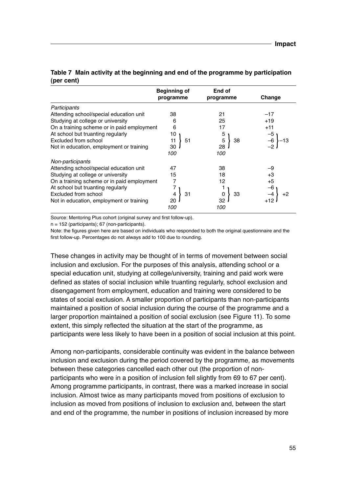|                                            | <b>Beginning of</b><br>programme | End of<br>programme | Change |
|--------------------------------------------|----------------------------------|---------------------|--------|
| Participants                               |                                  |                     |        |
| Attending school/special education unit    | 38                               | 21                  | $-17$  |
| Studying at college or university          | 6                                | 25                  | $+19$  |
| On a training scheme or in paid employment | 6                                | 17                  | $+11$  |
| At school but truanting regularly          | 10                               | 5                   | -5     |
| Excluded from school                       | 51<br>11                         | 5<br>38             |        |
| Not in education, employment or training   | 30                               | 28                  |        |
|                                            | 100                              | 100                 |        |
| Non-participants                           |                                  |                     |        |
| Attending school/special education unit    | 47                               | 38                  | -9     |
| Studying at college or university          | 15                               | 18                  | $+3$   |
| On a training scheme or in paid employment |                                  | 12                  | $+5$   |
| At school but truanting regularly          |                                  |                     |        |
| Excluded from school                       | 31                               | 33<br>0             |        |
| Not in education, employment or training   | 20                               | 32                  |        |
|                                            | 100                              | 100                 |        |

#### **Table 7 Main activity at the beginning and end of the programme by participation (per cent)**

Source: Mentoring Plus cohort (original survey and first follow-up).

n = 152 (participants); 67 (non-participants).

Note: the figures given here are based on individuals who responded to both the original questionnaire and the first follow-up. Percentages do not always add to 100 due to rounding.

These changes in activity may be thought of in terms of movement between social inclusion and exclusion. For the purposes of this analysis, attending school or a special education unit, studying at college/university, training and paid work were defined as states of social inclusion while truanting regularly, school exclusion and disengagement from employment, education and training were considered to be states of social exclusion. A smaller proportion of participants than non-participants maintained a position of social inclusion during the course of the programme and a larger proportion maintained a position of social exclusion (see Figure 11). To some extent, this simply reflected the situation at the start of the programme, as participants were less likely to have been in a position of social inclusion at this point.

Among non-participants, considerable continuity was evident in the balance between inclusion and exclusion during the period covered by the programme, as movements between these categories cancelled each other out (the proportion of nonparticipants who were in a position of inclusion fell slightly from 69 to 67 per cent). Among programme participants, in contrast, there was a marked increase in social inclusion. Almost twice as many participants moved from positions of exclusion to inclusion as moved from positions of inclusion to exclusion and, between the start and end of the programme, the number in positions of inclusion increased by more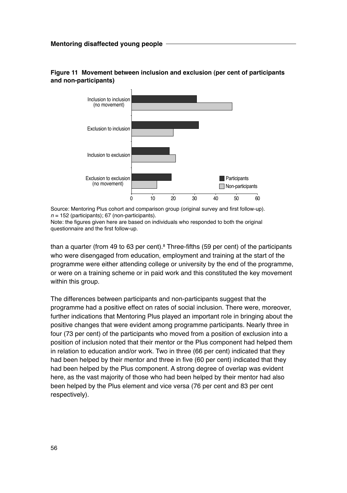

### **Figure 11 Movement between inclusion and exclusion (per cent of participants and non-participants)**

Source: Mentoring Plus cohort and comparison group (original survey and first follow-up).  $n = 152$  (participants); 67 (non-participants).

Note: the figures given here are based on individuals who responded to both the original questionnaire and the first follow-up.

than a quarter (from 49 to 63 per cent). $8$  Three-fifths (59 per cent) of the participants who were disengaged from education, employment and training at the start of the programme were either attending college or university by the end of the programme, or were on a training scheme or in paid work and this constituted the key movement within this group.

The differences between participants and non-participants suggest that the programme had a positive effect on rates of social inclusion. There were, moreover, further indications that Mentoring Plus played an important role in bringing about the positive changes that were evident among programme participants. Nearly three in four (73 per cent) of the participants who moved from a position of exclusion into a position of inclusion noted that their mentor or the Plus component had helped them in relation to education and/or work. Two in three (66 per cent) indicated that they had been helped by their mentor and three in five (60 per cent) indicated that they had been helped by the Plus component. A strong degree of overlap was evident here, as the vast majority of those who had been helped by their mentor had also been helped by the Plus element and vice versa (76 per cent and 83 per cent respectively).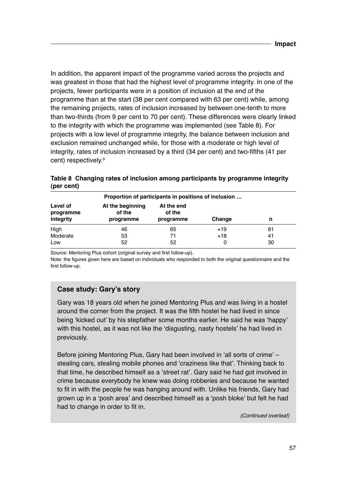In addition, the apparent impact of the programme varied across the projects and was greatest in those that had the highest level of programme integrity. In one of the projects, fewer participants were in a position of inclusion at the end of the programme than at the start (38 per cent compared with 63 per cent) while, among the remaining projects, rates of inclusion increased by between one-tenth to more than two-thirds (from 9 per cent to 70 per cent). These differences were clearly linked to the integrity with which the programme was implemented (see Table 8). For projects with a low level of programme integrity, the balance between inclusion and exclusion remained unchanged while, for those with a moderate or high level of integrity, rates of inclusion increased by a third (34 per cent) and two-fifths (41 per cent) respectively.9

|                                    | Proportion of participants in positions of inclusion |                                   |        |    |  |  |  |
|------------------------------------|------------------------------------------------------|-----------------------------------|--------|----|--|--|--|
| Level of<br>programme<br>integrity | At the beginning<br>of the<br>programme              | At the end<br>of the<br>programme | Change | n  |  |  |  |
| High                               | 46                                                   | 65                                | $+19$  | 81 |  |  |  |
| Moderate                           | 53                                                   | 71                                | $+18$  | 41 |  |  |  |
| Low                                | 52                                                   | 52                                |        | 30 |  |  |  |

**Table 8 Changing rates of inclusion among participants by programme integrity (per cent)**

Source: Mentoring Plus cohort (original survey and first follow-up).

Note: the figures given here are based on individuals who responded to both the original questionnaire and the first follow-up.

# **Case study: Gary's story**

Gary was 18 years old when he joined Mentoring Plus and was living in a hostel around the corner from the project. It was the fifth hostel he had lived in since being 'kicked out' by his stepfather some months earlier. He said he was 'happy' with this hostel, as it was not like the 'disgusting, nasty hostels' he had lived in previously.

Before joining Mentoring Plus, Gary had been involved in 'all sorts of crime' – stealing cars, stealing mobile phones and 'craziness like that'. Thinking back to that time, he described himself as a 'street rat'. Gary said he had got involved in crime because everybody he knew was doing robberies and because he wanted to fit in with the people he was hanging around with. Unlike his friends, Gary had grown up in a 'posh area' and described himself as a 'posh bloke' but felt he had had to change in order to fit in.

(Continued overleaf)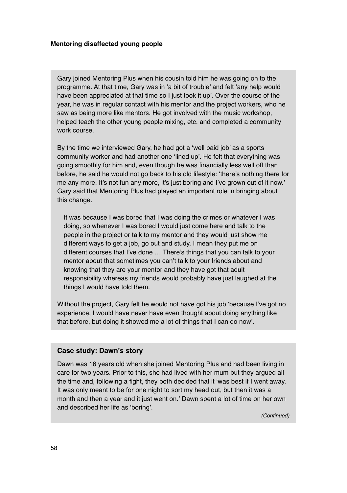Gary joined Mentoring Plus when his cousin told him he was going on to the programme. At that time, Gary was in 'a bit of trouble' and felt 'any help would have been appreciated at that time so I just took it up'. Over the course of the year, he was in regular contact with his mentor and the project workers, who he saw as being more like mentors. He got involved with the music workshop, helped teach the other young people mixing, etc. and completed a community work course.

By the time we interviewed Gary, he had got a 'well paid job' as a sports community worker and had another one 'lined up'. He felt that everything was going smoothly for him and, even though he was financially less well off than before, he said he would not go back to his old lifestyle: 'there's nothing there for me any more. It's not fun any more, it's just boring and I've grown out of it now.' Gary said that Mentoring Plus had played an important role in bringing about this change.

It was because I was bored that I was doing the crimes or whatever I was doing, so whenever I was bored I would just come here and talk to the people in the project or talk to my mentor and they would just show me different ways to get a job, go out and study, I mean they put me on different courses that I've done … There's things that you can talk to your mentor about that sometimes you can't talk to your friends about and knowing that they are your mentor and they have got that adult responsibility whereas my friends would probably have just laughed at the things I would have told them.

Without the project, Gary felt he would not have got his job 'because I've got no experience, I would have never have even thought about doing anything like that before, but doing it showed me a lot of things that I can do now'.

#### **Case study: Dawn's story**

Dawn was 16 years old when she joined Mentoring Plus and had been living in care for two years. Prior to this, she had lived with her mum but they argued all the time and, following a fight, they both decided that it 'was best if I went away. It was only meant to be for one night to sort my head out, but then it was a month and then a year and it just went on.' Dawn spent a lot of time on her own and described her life as 'boring'.

(Continued)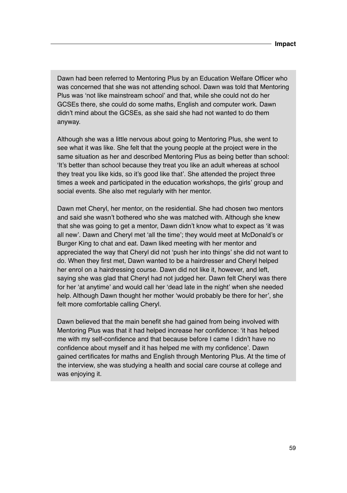Dawn had been referred to Mentoring Plus by an Education Welfare Officer who was concerned that she was not attending school. Dawn was told that Mentoring Plus was 'not like mainstream school' and that, while she could not do her GCSEs there, she could do some maths, English and computer work. Dawn didn't mind about the GCSEs, as she said she had not wanted to do them anyway.

Although she was a little nervous about going to Mentoring Plus, she went to see what it was like. She felt that the young people at the project were in the same situation as her and described Mentoring Plus as being better than school: 'It's better than school because they treat you like an adult whereas at school they treat you like kids, so it's good like that'. She attended the project three times a week and participated in the education workshops, the girls' group and social events. She also met regularly with her mentor.

Dawn met Cheryl, her mentor, on the residential. She had chosen two mentors and said she wasn't bothered who she was matched with. Although she knew that she was going to get a mentor, Dawn didn't know what to expect as 'it was all new'. Dawn and Cheryl met 'all the time'; they would meet at McDonald's or Burger King to chat and eat. Dawn liked meeting with her mentor and appreciated the way that Cheryl did not 'push her into things' she did not want to do. When they first met, Dawn wanted to be a hairdresser and Cheryl helped her enrol on a hairdressing course. Dawn did not like it, however, and left, saying she was glad that Cheryl had not judged her. Dawn felt Cheryl was there for her 'at anytime' and would call her 'dead late in the night' when she needed help. Although Dawn thought her mother 'would probably be there for her', she felt more comfortable calling Cheryl.

Dawn believed that the main benefit she had gained from being involved with Mentoring Plus was that it had helped increase her confidence: 'it has helped me with my self-confidence and that because before I came I didn't have no confidence about myself and it has helped me with my confidence'. Dawn gained certificates for maths and English through Mentoring Plus. At the time of the interview, she was studying a health and social care course at college and was enjoying it.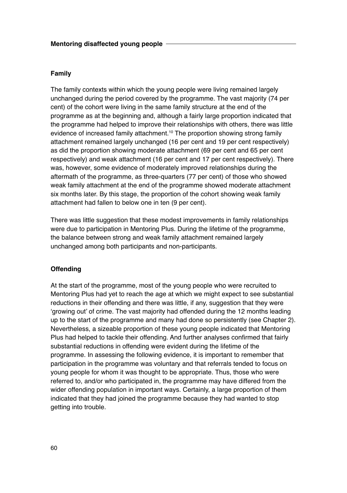#### *Family*

The family contexts within which the young people were living remained largely unchanged during the period covered by the programme. The vast majority (74 per cent) of the cohort were living in the same family structure at the end of the programme as at the beginning and, although a fairly large proportion indicated that the programme had helped to improve their relationships with others, there was little evidence of increased family attachment.<sup>10</sup> The proportion showing strong family attachment remained largely unchanged (16 per cent and 19 per cent respectively) as did the proportion showing moderate attachment (69 per cent and 65 per cent respectively) and weak attachment (16 per cent and 17 per cent respectively). There was, however, some evidence of moderately improved relationships during the aftermath of the programme, as three-quarters (77 per cent) of those who showed weak family attachment at the end of the programme showed moderate attachment six months later. By this stage, the proportion of the cohort showing weak family attachment had fallen to below one in ten (9 per cent).

There was little suggestion that these modest improvements in family relationships were due to participation in Mentoring Plus. During the lifetime of the programme, the balance between strong and weak family attachment remained largely unchanged among both participants and non-participants.

## *Offending*

At the start of the programme, most of the young people who were recruited to Mentoring Plus had yet to reach the age at which we might expect to see substantial reductions in their offending and there was little, if any, suggestion that they were 'growing out' of crime. The vast majority had offended during the 12 months leading up to the start of the programme and many had done so persistently (see Chapter 2). Nevertheless, a sizeable proportion of these young people indicated that Mentoring Plus had helped to tackle their offending. And further analyses confirmed that fairly substantial reductions in offending were evident during the lifetime of the programme. In assessing the following evidence, it is important to remember that participation in the programme was voluntary and that referrals tended to focus on young people for whom it was thought to be appropriate. Thus, those who were referred to, and/or who participated in, the programme may have differed from the wider offending population in important ways. Certainly, a large proportion of them indicated that they had joined the programme because they had wanted to stop getting into trouble.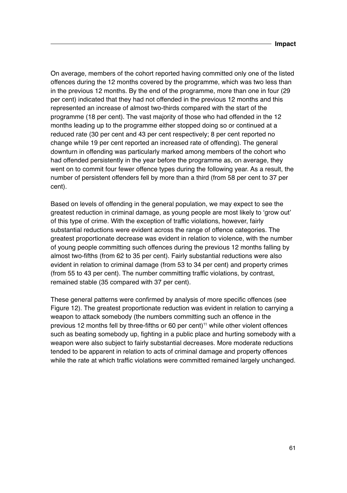On average, members of the cohort reported having committed only one of the listed offences during the 12 months covered by the programme, which was two less than in the previous 12 months. By the end of the programme, more than one in four (29 per cent) indicated that they had not offended in the previous 12 months and this represented an increase of almost two-thirds compared with the start of the programme (18 per cent). The vast majority of those who had offended in the 12 months leading up to the programme either stopped doing so or continued at a reduced rate (30 per cent and 43 per cent respectively; 8 per cent reported no change while 19 per cent reported an increased rate of offending). The general downturn in offending was particularly marked among members of the cohort who had offended persistently in the year before the programme as, on average, they went on to commit four fewer offence types during the following year. As a result, the number of persistent offenders fell by more than a third (from 58 per cent to 37 per cent).

Based on levels of offending in the general population, we may expect to see the greatest reduction in criminal damage, as young people are most likely to 'grow out' of this type of crime. With the exception of traffic violations, however, fairly substantial reductions were evident across the range of offence categories. The greatest proportionate decrease was evident in relation to violence, with the number of young people committing such offences during the previous 12 months falling by almost two-fifths (from 62 to 35 per cent). Fairly substantial reductions were also evident in relation to criminal damage (from 53 to 34 per cent) and property crimes (from 55 to 43 per cent). The number committing traffic violations, by contrast, remained stable (35 compared with 37 per cent).

These general patterns were confirmed by analysis of more specific offences (see Figure 12). The greatest proportionate reduction was evident in relation to carrying a weapon to attack somebody (the numbers committing such an offence in the previous 12 months fell by three-fifths or 60 per cent)<sup>11</sup> while other violent offences such as beating somebody up, fighting in a public place and hurting somebody with a weapon were also subject to fairly substantial decreases. More moderate reductions tended to be apparent in relation to acts of criminal damage and property offences while the rate at which traffic violations were committed remained largely unchanged.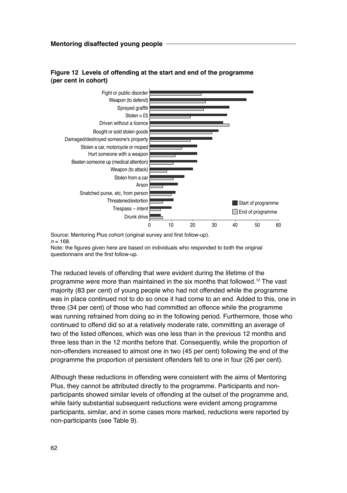

## **Figure 12 Levels of offending at the start and end of the programme (per cent in cohort)**

Source: Mentoring Plus cohort (original survey and first follow-up).  $n = 168$ .

Note: the figures given here are based on individuals who responded to both the original questionnaire and the first follow-up.

The reduced levels of offending that were evident during the lifetime of the programme were more than maintained in the six months that followed.12 The vast majority (83 per cent) of young people who had not offended while the programme was in place continued not to do so once it had come to an end. Added to this, one in three (34 per cent) of those who had committed an offence while the programme was running refrained from doing so in the following period. Furthermore, those who continued to offend did so at a relatively moderate rate, committing an average of two of the listed offences, which was one less than in the previous 12 months and three less than in the 12 months before that. Consequently, while the proportion of non-offenders increased to almost one in two (45 per cent) following the end of the programme the proportion of persistent offenders fell to one in four (26 per cent).

Although these reductions in offending were consistent with the aims of Mentoring Plus, they cannot be attributed directly to the programme. Participants and nonparticipants showed similar levels of offending at the outset of the programme and, while fairly substantial subsequent reductions were evident among programme participants, similar, and in some cases more marked, reductions were reported by non-participants (see Table 9).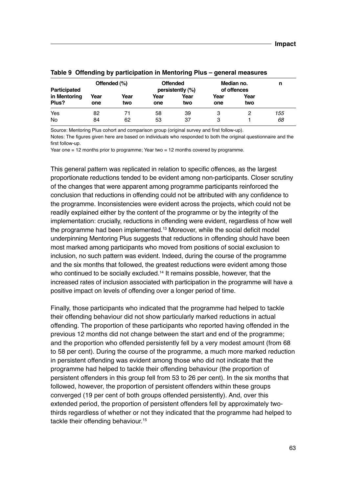|                                       | Offended (%) |             |             | <b>Offended</b><br>persistently (%) |             | Median no.<br>of offences |           |
|---------------------------------------|--------------|-------------|-------------|-------------------------------------|-------------|---------------------------|-----------|
| Participated<br>in Mentoring<br>Plus? | Year<br>one  | Year<br>two | Year<br>one | Year<br>two                         | Year<br>one | Year<br>two               |           |
| Yes<br>No                             | 82<br>84     | 71<br>62    | 58<br>53    | 39<br>37                            | 3           |                           | 155<br>68 |

**Table 9 Offending by participation in Mentoring Plus – general measures**

Source: Mentoring Plus cohort and comparison group (original survey and first follow-up).

Notes: The figures given here are based on individuals who responded to both the original questionnaire and the first follow-up.

Year one = 12 months prior to programme; Year two = 12 months covered by programme.

This general pattern was replicated in relation to specific offences, as the largest proportionate reductions tended to be evident among non-participants. Closer scrutiny of the changes that were apparent among programme participants reinforced the conclusion that reductions in offending could not be attributed with any confidence to the programme. Inconsistencies were evident across the projects, which could not be readily explained either by the content of the programme or by the integrity of the implementation: crucially, reductions in offending were evident, regardless of how well the programme had been implemented.13 Moreover, while the social deficit model underpinning Mentoring Plus suggests that reductions in offending should have been most marked among participants who moved from positions of social exclusion to inclusion, no such pattern was evident. Indeed, during the course of the programme and the six months that followed, the greatest reductions were evident among those who continued to be socially excluded.<sup>14</sup> It remains possible, however, that the increased rates of inclusion associated with participation in the programme will have a positive impact on levels of offending over a longer period of time.

Finally, those participants who indicated that the programme had helped to tackle their offending behaviour did not show particularly marked reductions in actual offending. The proportion of these participants who reported having offended in the previous 12 months did not change between the start and end of the programme; and the proportion who offended persistently fell by a very modest amount (from 68 to 58 per cent). During the course of the programme, a much more marked reduction in persistent offending was evident among those who did not indicate that the programme had helped to tackle their offending behaviour (the proportion of persistent offenders in this group fell from 53 to 26 per cent). In the six months that followed, however, the proportion of persistent offenders within these groups converged (19 per cent of both groups offended persistently). And, over this extended period, the proportion of persistent offenders fell by approximately twothirds regardless of whether or not they indicated that the programme had helped to tackle their offending behaviour.<sup>15</sup>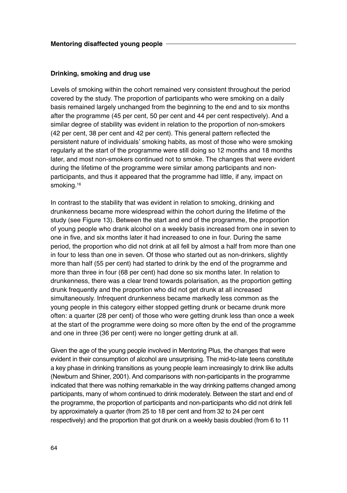#### *Drinking, smoking and drug use*

Levels of smoking within the cohort remained very consistent throughout the period covered by the study. The proportion of participants who were smoking on a daily basis remained largely unchanged from the beginning to the end and to six months after the programme (45 per cent, 50 per cent and 44 per cent respectively). And a similar degree of stability was evident in relation to the proportion of non-smokers (42 per cent, 38 per cent and 42 per cent). This general pattern reflected the persistent nature of individuals' smoking habits, as most of those who were smoking regularly at the start of the programme were still doing so 12 months and 18 months later, and most non-smokers continued not to smoke. The changes that were evident during the lifetime of the programme were similar among participants and nonparticipants, and thus it appeared that the programme had little, if any, impact on smoking.<sup>16</sup>

In contrast to the stability that was evident in relation to smoking, drinking and drunkenness became more widespread within the cohort during the lifetime of the study (see Figure 13). Between the start and end of the programme, the proportion of young people who drank alcohol on a weekly basis increased from one in seven to one in five, and six months later it had increased to one in four. During the same period, the proportion who did not drink at all fell by almost a half from more than one in four to less than one in seven. Of those who started out as non-drinkers, slightly more than half (55 per cent) had started to drink by the end of the programme and more than three in four (68 per cent) had done so six months later. In relation to drunkenness, there was a clear trend towards polarisation, as the proportion getting drunk frequently and the proportion who did not get drunk at all increased simultaneously. Infrequent drunkenness became markedly less common as the young people in this category either stopped getting drunk or became drunk more often: a quarter (28 per cent) of those who were getting drunk less than once a week at the start of the programme were doing so more often by the end of the programme and one in three (36 per cent) were no longer getting drunk at all.

Given the age of the young people involved in Mentoring Plus, the changes that were evident in their consumption of alcohol are unsurprising. The mid-to-late teens constitute a key phase in drinking transitions as young people learn increasingly to drink like adults (Newburn and Shiner, 2001). And comparisons with non-participants in the programme indicated that there was nothing remarkable in the way drinking patterns changed among participants, many of whom continued to drink moderately. Between the start and end of the programme, the proportion of participants and non-participants who did not drink fell by approximately a quarter (from 25 to 18 per cent and from 32 to 24 per cent respectively) and the proportion that got drunk on a weekly basis doubled (from 6 to 11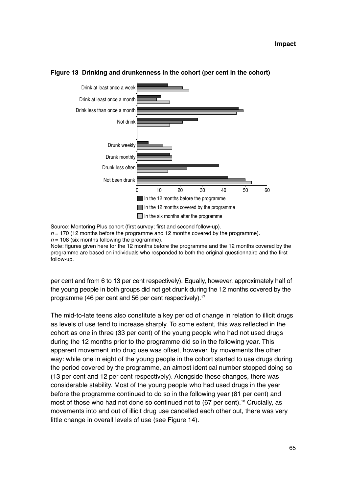

#### **Figure 13 Drinking and drunkenness in the cohort (per cent in the cohort)**

Source: Mentoring Plus cohort (first survey; first and second follow-up).  $n = 170$  (12 months before the programme and 12 months covered by the programme).  $n = 108$  (six months following the programme).

Note: figures given here for the 12 months before the programme and the 12 months covered by the programme are based on individuals who responded to both the original questionnaire and the first follow-up.

per cent and from 6 to 13 per cent respectively). Equally, however, approximately half of the young people in both groups did not get drunk during the 12 months covered by the programme (46 per cent and 56 per cent respectively).<sup>17</sup>

The mid-to-late teens also constitute a key period of change in relation to illicit drugs as levels of use tend to increase sharply. To some extent, this was reflected in the cohort as one in three (33 per cent) of the young people who had not used drugs during the 12 months prior to the programme did so in the following year. This apparent movement into drug use was offset, however, by movements the other way: while one in eight of the young people in the cohort started to use drugs during the period covered by the programme, an almost identical number stopped doing so (13 per cent and 12 per cent respectively). Alongside these changes, there was considerable stability. Most of the young people who had used drugs in the year before the programme continued to do so in the following year (81 per cent) and most of those who had not done so continued not to  $(67 \text{ per cent})$ .<sup>18</sup> Crucially, as movements into and out of illicit drug use cancelled each other out, there was very little change in overall levels of use (see Figure 14).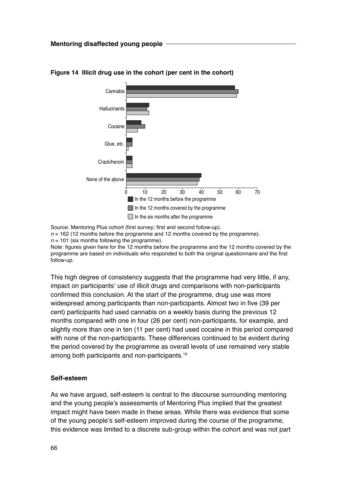

#### **Figure 14 Illicit drug use in the cohort (per cent in the cohort)**

Source: Mentoring Plus cohort (first survey; first and second follow-up).  $n = 162$  (12 months before the programme and 12 months covered by the programme).  $n = 101$  (six months following the programme). Note: figures given here for the 12 months before the programme and the 12 months covered by the programme are based on individuals who responded to both the original questionnaire and the first

This high degree of consistency suggests that the programme had very little, if any, impact on participants' use of illicit drugs and comparisons with non-participants confirmed this conclusion. At the start of the programme, drug use was more widespread among participants than non-participants. Almost two in five (39 per cent) participants had used cannabis on a weekly basis during the previous 12 months compared with one in four (26 per cent) non-participants, for example, and slightly more than one in ten (11 per cent) had used cocaine in this period compared with none of the non-participants. These differences continued to be evident during the period covered by the programme as overall levels of use remained very stable among both participants and non-participants.19

#### *Self-esteem*

follow-up.

As we have argued, self-esteem is central to the discourse surrounding mentoring and the young people's assessments of Mentoring Plus implied that the greatest impact might have been made in these areas. While there was evidence that some of the young people's self-esteem improved during the course of the programme, this evidence was limited to a discrete sub-group within the cohort and was not part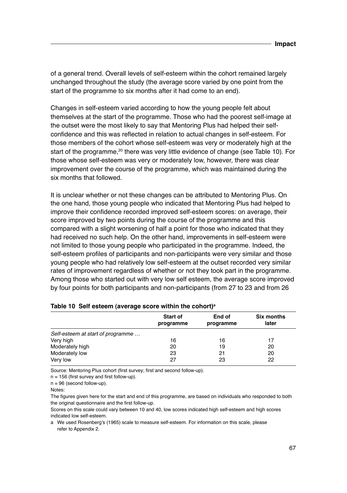of a general trend. Overall levels of self-esteem within the cohort remained largely unchanged throughout the study (the average score varied by one point from the start of the programme to six months after it had come to an end).

Changes in self-esteem varied according to how the young people felt about themselves at the start of the programme. Those who had the poorest self-image at the outset were the most likely to say that Mentoring Plus had helped their selfconfidence and this was reflected in relation to actual changes in self-esteem. For those members of the cohort whose self-esteem was very or moderately high at the start of the programme,<sup>20</sup> there was very little evidence of change (see Table 10). For those whose self-esteem was very or moderately low, however, there was clear improvement over the course of the programme, which was maintained during the six months that followed.

It is unclear whether or not these changes can be attributed to Mentoring Plus. On the one hand, those young people who indicated that Mentoring Plus had helped to improve their confidence recorded improved self-esteem scores: on average, their score improved by two points during the course of the programme and this compared with a slight worsening of half a point for those who indicated that they had received no such help. On the other hand, improvements in self-esteem were not limited to those young people who participated in the programme. Indeed, the self-esteem profiles of participants and non-participants were very similar and those young people who had relatively low self-esteem at the outset recorded very similar rates of improvement regardless of whether or not they took part in the programme. Among those who started out with very low self esteem, the average score improved by four points for both participants and non-participants (from 27 to 23 and from 26

|                                   | <b>Start of</b><br>programme | End of<br>programme | <b>Six months</b><br>later |
|-----------------------------------|------------------------------|---------------------|----------------------------|
| Self-esteem at start of programme |                              |                     |                            |
| Very high                         | 16                           | 16                  | 17                         |
| Moderately high                   | 20                           | 19                  | 20                         |
| Moderately low                    | 23                           | 21                  | 20                         |
| Very low                          | 27                           | 23                  | 22                         |

#### **Table 10 Self esteem (average score within the cohort)a**

Source: Mentoring Plus cohort (first survey; first and second follow-up).

 $n = 156$  (first survey and first follow-up).

 $n = 96$  (second follow-up).

Notes:

The figures given here for the start and end of this programme, are based on individuals who responded to both the original questionnaire and the first follow-up.

Scores on this scale could vary between 10 and 40, low scores indicated high self-esteem and high scores indicated low self-esteem.

a We used Rosenberg's (1965) scale to measure self-esteem. For information on this scale, please refer to Appendix 2.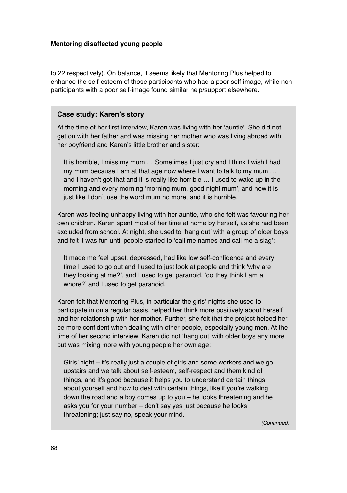to 22 respectively). On balance, it seems likely that Mentoring Plus helped to enhance the self-esteem of those participants who had a poor self-image, while nonparticipants with a poor self-image found similar help/support elsewhere.

#### **Case study: Karen's story**

At the time of her first interview, Karen was living with her 'auntie'. She did not get on with her father and was missing her mother who was living abroad with her boyfriend and Karen's little brother and sister:

It is horrible, I miss my mum … Sometimes I just cry and I think I wish I had my mum because I am at that age now where I want to talk to my mum … and I haven't got that and it is really like horrible … I used to wake up in the morning and every morning 'morning mum, good night mum', and now it is just like I don't use the word mum no more, and it is horrible.

Karen was feeling unhappy living with her auntie, who she felt was favouring her own children. Karen spent most of her time at home by herself, as she had been excluded from school. At night, she used to 'hang out' with a group of older boys and felt it was fun until people started to 'call me names and call me a slag':

It made me feel upset, depressed, had like low self-confidence and every time I used to go out and I used to just look at people and think 'why are they looking at me?', and I used to get paranoid, 'do they think I am a whore?' and I used to get paranoid.

Karen felt that Mentoring Plus, in particular the girls' nights she used to participate in on a regular basis, helped her think more positively about herself and her relationship with her mother. Further, she felt that the project helped her be more confident when dealing with other people, especially young men. At the time of her second interview, Karen did not 'hang out' with older boys any more but was mixing more with young people her own age:

Girls' night – it's really just a couple of girls and some workers and we go upstairs and we talk about self-esteem, self-respect and them kind of things, and it's good because it helps you to understand certain things about yourself and how to deal with certain things, like if you're walking down the road and a boy comes up to you – he looks threatening and he asks you for your number – don't say yes just because he looks threatening; just say no, speak your mind.

(Continued)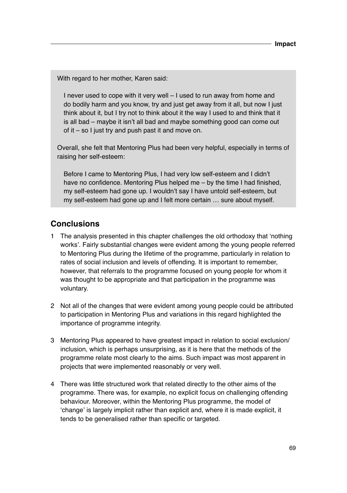With regard to her mother, Karen said:

I never used to cope with it very well – I used to run away from home and do bodily harm and you know, try and just get away from it all, but now I just think about it, but I try not to think about it the way I used to and think that it is all bad – maybe it isn't all bad and maybe something good can come out of it – so I just try and push past it and move on.

Overall, she felt that Mentoring Plus had been very helpful, especially in terms of raising her self-esteem:

Before I came to Mentoring Plus, I had very low self-esteem and I didn't have no confidence. Mentoring Plus helped me – by the time I had finished, my self-esteem had gone up. I wouldn't say I have untold self-esteem, but my self-esteem had gone up and I felt more certain … sure about myself.

### **Conclusions**

- 1 The analysis presented in this chapter challenges the old orthodoxy that 'nothing works'. Fairly substantial changes were evident among the young people referred to Mentoring Plus during the lifetime of the programme, particularly in relation to rates of social inclusion and levels of offending. It is important to remember, however, that referrals to the programme focused on young people for whom it was thought to be appropriate and that participation in the programme was voluntary.
- 2 Not all of the changes that were evident among young people could be attributed to participation in Mentoring Plus and variations in this regard highlighted the importance of programme integrity.
- 3 Mentoring Plus appeared to have greatest impact in relation to social exclusion/ inclusion, which is perhaps unsurprising, as it is here that the methods of the programme relate most clearly to the aims. Such impact was most apparent in projects that were implemented reasonably or very well.
- 4 There was little structured work that related directly to the other aims of the programme. There was, for example, no explicit focus on challenging offending behaviour. Moreover, within the Mentoring Plus programme, the model of 'change' is largely implicit rather than explicit and, where it is made explicit, it tends to be generalised rather than specific or targeted.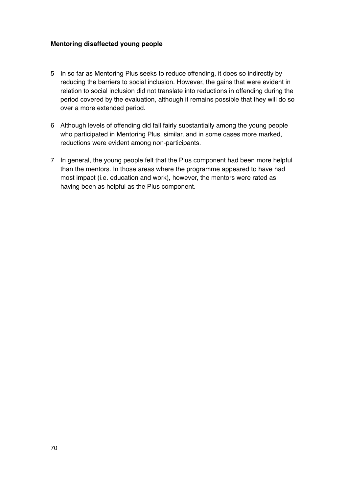- 5 In so far as Mentoring Plus seeks to reduce offending, it does so indirectly by reducing the barriers to social inclusion. However, the gains that were evident in relation to social inclusion did not translate into reductions in offending during the period covered by the evaluation, although it remains possible that they will do so over a more extended period.
- 6 Although levels of offending did fall fairly substantially among the young people who participated in Mentoring Plus, similar, and in some cases more marked, reductions were evident among non-participants.
- 7 In general, the young people felt that the Plus component had been more helpful than the mentors. In those areas where the programme appeared to have had most impact (i.e. education and work), however, the mentors were rated as having been as helpful as the Plus component.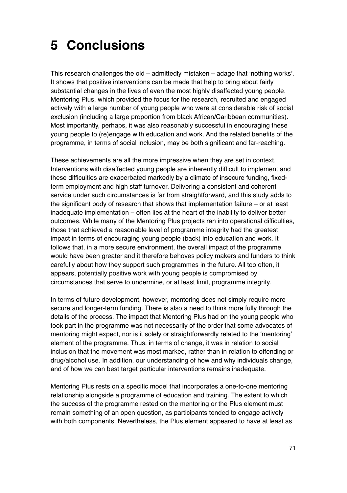# **5 Conclusions**

This research challenges the old – admittedly mistaken – adage that 'nothing works'. It shows that positive interventions can be made that help to bring about fairly substantial changes in the lives of even the most highly disaffected young people. Mentoring Plus, which provided the focus for the research, recruited and engaged actively with a large number of young people who were at considerable risk of social exclusion (including a large proportion from black African/Caribbean communities). Most importantly, perhaps, it was also reasonably successful in encouraging these young people to (re)engage with education and work. And the related benefits of the programme, in terms of social inclusion, may be both significant and far-reaching.

These achievements are all the more impressive when they are set in context. Interventions with disaffected young people are inherently difficult to implement and these difficulties are exacerbated markedly by a climate of insecure funding, fixedterm employment and high staff turnover. Delivering a consistent and coherent service under such circumstances is far from straightforward, and this study adds to the significant body of research that shows that implementation failure – or at least inadequate implementation – often lies at the heart of the inability to deliver better outcomes. While many of the Mentoring Plus projects ran into operational difficulties, those that achieved a reasonable level of programme integrity had the greatest impact in terms of encouraging young people (back) into education and work. It follows that, in a more secure environment, the overall impact of the programme would have been greater and it therefore behoves policy makers and funders to think carefully about how they support such programmes in the future. All too often, it appears, potentially positive work with young people is compromised by circumstances that serve to undermine, or at least limit, programme integrity.

In terms of future development, however, mentoring does not simply require more secure and longer-term funding. There is also a need to think more fully through the details of the process. The impact that Mentoring Plus had on the young people who took part in the programme was not necessarily of the order that some advocates of mentoring might expect, nor is it solely or straightforwardly related to the 'mentoring' element of the programme. Thus, in terms of change, it was in relation to social inclusion that the movement was most marked, rather than in relation to offending or drug/alcohol use. In addition, our understanding of how and why individuals change, and of how we can best target particular interventions remains inadequate.

Mentoring Plus rests on a specific model that incorporates a one-to-one mentoring relationship alongside a programme of education and training. The extent to which the success of the programme rested on the mentoring or the Plus element must remain something of an open question, as participants tended to engage actively with both components. Nevertheless, the Plus element appeared to have at least as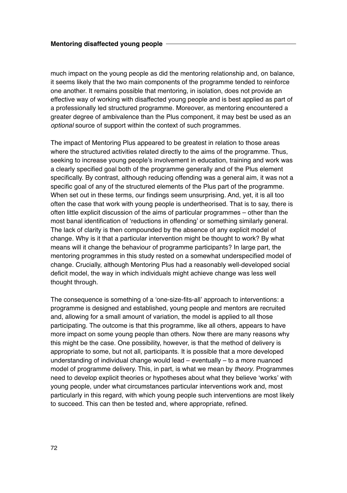much impact on the young people as did the mentoring relationship and, on balance, it seems likely that the two main components of the programme tended to reinforce one another. It remains possible that mentoring, in isolation, does not provide an effective way of working with disaffected young people and is best applied as part of a professionally led structured programme. Moreover, as mentoring encountered a greater degree of ambivalence than the Plus component, it may best be used as an optional source of support within the context of such programmes.

The impact of Mentoring Plus appeared to be greatest in relation to those areas where the structured activities related directly to the aims of the programme. Thus, seeking to increase young people's involvement in education, training and work was a clearly specified goal both of the programme generally and of the Plus element specifically. By contrast, although reducing offending was a general aim, it was not a specific goal of any of the structured elements of the Plus part of the programme. When set out in these terms, our findings seem unsurprising. And, yet, it is all too often the case that work with young people is undertheorised. That is to say, there is often little explicit discussion of the aims of particular programmes – other than the most banal identification of 'reductions in offending' or something similarly general. The lack of clarity is then compounded by the absence of any explicit model of change. Why is it that a particular intervention might be thought to work? By what means will it change the behaviour of programme participants? In large part, the mentoring programmes in this study rested on a somewhat underspecified model of change. Crucially, although Mentoring Plus had a reasonably well-developed social deficit model, the way in which individuals might achieve change was less well thought through.

The consequence is something of a 'one-size-fits-all' approach to interventions: a programme is designed and established, young people and mentors are recruited and, allowing for a small amount of variation, the model is applied to all those participating. The outcome is that this programme, like all others, appears to have more impact on some young people than others. Now there are many reasons why this might be the case. One possibility, however, is that the method of delivery is appropriate to some, but not all, participants. It is possible that a more developed understanding of individual change would lead – eventually – to a more nuanced model of programme delivery. This, in part, is what we mean by theory. Programmes need to develop explicit theories or hypotheses about what they believe 'works' with young people, under what circumstances particular interventions work and, most particularly in this regard, with which young people such interventions are most likely to succeed. This can then be tested and, where appropriate, refined.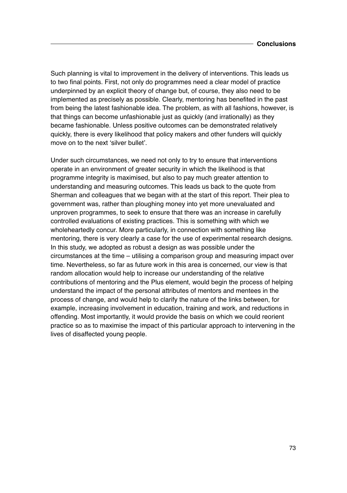Such planning is vital to improvement in the delivery of interventions. This leads us to two final points. First, not only do programmes need a clear model of practice underpinned by an explicit theory of change but, of course, they also need to be implemented as precisely as possible. Clearly, mentoring has benefited in the past from being the latest fashionable idea. The problem, as with all fashions, however, is that things can become unfashionable just as quickly (and irrationally) as they became fashionable. Unless positive outcomes can be demonstrated relatively quickly, there is every likelihood that policy makers and other funders will quickly move on to the next 'silver bullet'.

Under such circumstances, we need not only to try to ensure that interventions operate in an environment of greater security in which the likelihood is that programme integrity is maximised, but also to pay much greater attention to understanding and measuring outcomes. This leads us back to the quote from Sherman and colleagues that we began with at the start of this report. Their plea to government was, rather than ploughing money into yet more unevaluated and unproven programmes, to seek to ensure that there was an increase in carefully controlled evaluations of existing practices. This is something with which we wholeheartedly concur. More particularly, in connection with something like mentoring, there is very clearly a case for the use of experimental research designs. In this study, we adopted as robust a design as was possible under the circumstances at the time – utilising a comparison group and measuring impact over time. Nevertheless, so far as future work in this area is concerned, our view is that random allocation would help to increase our understanding of the relative contributions of mentoring and the Plus element, would begin the process of helping understand the impact of the personal attributes of mentors and mentees in the process of change, and would help to clarify the nature of the links between, for example, increasing involvement in education, training and work, and reductions in offending. Most importantly, it would provide the basis on which we could reorient practice so as to maximise the impact of this particular approach to intervening in the lives of disaffected young people.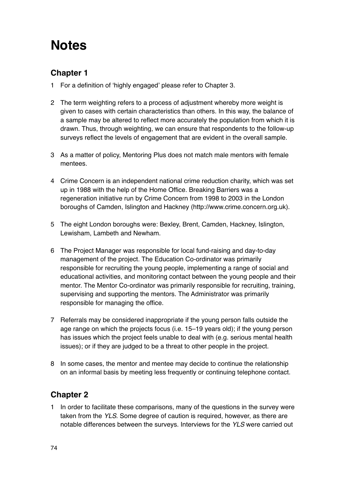# **Notes**

## **Chapter 1**

- 1 For a definition of 'highly engaged' please refer to Chapter 3.
- 2 The term weighting refers to a process of adjustment whereby more weight is given to cases with certain characteristics than others. In this way, the balance of a sample may be altered to reflect more accurately the population from which it is drawn. Thus, through weighting, we can ensure that respondents to the follow-up surveys reflect the levels of engagement that are evident in the overall sample.
- 3 As a matter of policy, Mentoring Plus does not match male mentors with female mentees.
- 4 Crime Concern is an independent national crime reduction charity, which was set up in 1988 with the help of the Home Office. Breaking Barriers was a regeneration initiative run by Crime Concern from 1998 to 2003 in the London boroughs of Camden, Islington and Hackney (http://www.crime.concern.org.uk).
- 5 The eight London boroughs were: Bexley, Brent, Camden, Hackney, Islington, Lewisham, Lambeth and Newham.
- 6 The Project Manager was responsible for local fund-raising and day-to-day management of the project. The Education Co-ordinator was primarily responsible for recruiting the young people, implementing a range of social and educational activities, and monitoring contact between the young people and their mentor. The Mentor Co-ordinator was primarily responsible for recruiting, training, supervising and supporting the mentors. The Administrator was primarily responsible for managing the office.
- 7 Referrals may be considered inappropriate if the young person falls outside the age range on which the projects focus (i.e. 15–19 years old); if the young person has issues which the project feels unable to deal with (e.g. serious mental health issues); or if they are judged to be a threat to other people in the project.
- 8 In some cases, the mentor and mentee may decide to continue the relationship on an informal basis by meeting less frequently or continuing telephone contact.

## **Chapter 2**

1 In order to facilitate these comparisons, many of the questions in the survey were taken from the YLS. Some degree of caution is required, however, as there are notable differences between the surveys. Interviews for the YLS were carried out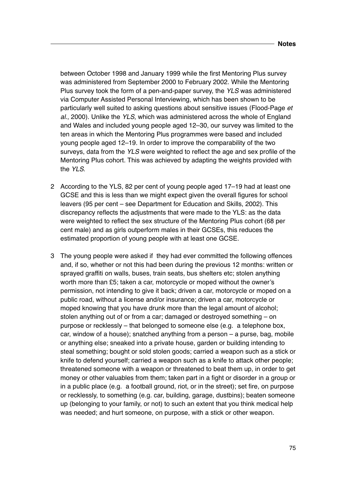between October 1998 and January 1999 while the first Mentoring Plus survey was administered from September 2000 to February 2002. While the Mentoring Plus survey took the form of a pen-and-paper survey, the YLS was administered via Computer Assisted Personal Interviewing, which has been shown to be particularly well suited to asking questions about sensitive issues (Flood-Page et al., 2000). Unlike the YLS, which was administered across the whole of England and Wales and included young people aged 12–30, our survey was limited to the ten areas in which the Mentoring Plus programmes were based and included young people aged 12–19. In order to improve the comparability of the two surveys, data from the YLS were weighted to reflect the age and sex profile of the Mentoring Plus cohort. This was achieved by adapting the weights provided with the YLS.

- 2 According to the YLS, 82 per cent of young people aged 17–19 had at least one GCSE and this is less than we might expect given the overall figures for school leavers (95 per cent – see Department for Education and Skills, 2002). This discrepancy reflects the adjustments that were made to the YLS: as the data were weighted to reflect the sex structure of the Mentoring Plus cohort (68 per cent male) and as girls outperform males in their GCSEs, this reduces the estimated proportion of young people with at least one GCSE.
- 3 The young people were asked if they had ever committed the following offences and, if so, whether or not this had been during the previous 12 months: written or sprayed graffiti on walls, buses, train seats, bus shelters etc; stolen anything worth more than £5; taken a car, motorcycle or moped without the owner's permission, not intending to give it back; driven a car, motorcycle or moped on a public road, without a license and/or insurance; driven a car, motorcycle or moped knowing that you have drunk more than the legal amount of alcohol; stolen anything out of or from a car; damaged or destroyed something – on purpose or recklessly – that belonged to someone else (e.g. a telephone box, car, window of a house); snatched anything from a person – a purse, bag, mobile or anything else; sneaked into a private house, garden or building intending to steal something; bought or sold stolen goods; carried a weapon such as a stick or knife to defend yourself; carried a weapon such as a knife to attack other people; threatened someone with a weapon or threatened to beat them up, in order to get money or other valuables from them; taken part in a fight or disorder in a group or in a public place (e.g. a football ground, riot, or in the street); set fire, on purpose or recklessly, to something (e.g. car, building, garage, dustbins); beaten someone up (belonging to your family, or not) to such an extent that you think medical help was needed; and hurt someone, on purpose, with a stick or other weapon.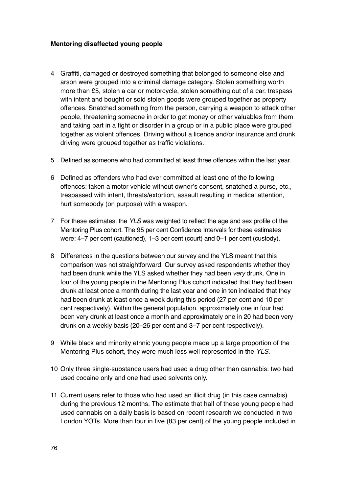- 4 Graffiti, damaged or destroyed something that belonged to someone else and arson were grouped into a criminal damage category. Stolen something worth more than £5, stolen a car or motorcycle, stolen something out of a car, trespass with intent and bought or sold stolen goods were grouped together as property offences. Snatched something from the person, carrying a weapon to attack other people, threatening someone in order to get money or other valuables from them and taking part in a fight or disorder in a group or in a public place were grouped together as violent offences. Driving without a licence and/or insurance and drunk driving were grouped together as traffic violations.
- 5 Defined as someone who had committed at least three offences within the last year.
- 6 Defined as offenders who had ever committed at least one of the following offences: taken a motor vehicle without owner's consent, snatched a purse, etc., trespassed with intent, threats/extortion, assault resulting in medical attention, hurt somebody (on purpose) with a weapon.
- 7 For these estimates, the YLS was weighted to reflect the age and sex profile of the Mentoring Plus cohort. The 95 per cent Confidence Intervals for these estimates were: 4–7 per cent (cautioned), 1–3 per cent (court) and 0–1 per cent (custody).
- 8 Differences in the questions between our survey and the YLS meant that this comparison was not straightforward. Our survey asked respondents whether they had been drunk while the YLS asked whether they had been very drunk. One in four of the young people in the Mentoring Plus cohort indicated that they had been drunk at least once a month during the last year and one in ten indicated that they had been drunk at least once a week during this period (27 per cent and 10 per cent respectively). Within the general population, approximately one in four had been very drunk at least once a month and approximately one in 20 had been very drunk on a weekly basis (20–26 per cent and 3–7 per cent respectively).
- 9 While black and minority ethnic young people made up a large proportion of the Mentoring Plus cohort, they were much less well represented in the YLS.
- 10 Only three single-substance users had used a drug other than cannabis: two had used cocaine only and one had used solvents only.
- 11 Current users refer to those who had used an illicit drug (in this case cannabis) during the previous 12 months. The estimate that half of these young people had used cannabis on a daily basis is based on recent research we conducted in two London YOTs. More than four in five (83 per cent) of the young people included in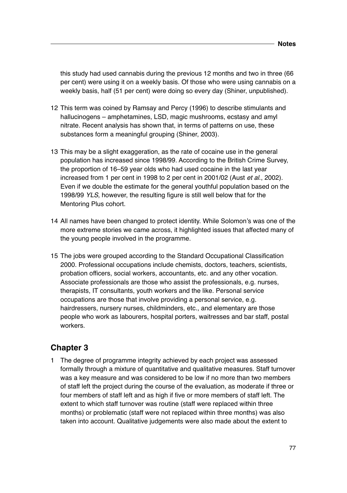this study had used cannabis during the previous 12 months and two in three (66 per cent) were using it on a weekly basis. Of those who were using cannabis on a weekly basis, half (51 per cent) were doing so every day (Shiner, unpublished).

- 12 This term was coined by Ramsay and Percy (1996) to describe stimulants and hallucinogens – amphetamines, LSD, magic mushrooms, ecstasy and amyl nitrate. Recent analysis has shown that, in terms of patterns on use, these substances form a meaningful grouping (Shiner, 2003).
- 13 This may be a slight exaggeration, as the rate of cocaine use in the general population has increased since 1998/99. According to the British Crime Survey, the proportion of 16–59 year olds who had used cocaine in the last year increased from 1 per cent in 1998 to 2 per cent in 2001/02 (Aust et al., 2002). Even if we double the estimate for the general youthful population based on the 1998/99 YLS, however, the resulting figure is still well below that for the Mentoring Plus cohort.
- 14 All names have been changed to protect identity. While Solomon's was one of the more extreme stories we came across, it highlighted issues that affected many of the young people involved in the programme.
- 15 The jobs were grouped according to the Standard Occupational Classification 2000. Professional occupations include chemists, doctors, teachers, scientists, probation officers, social workers, accountants, etc. and any other vocation. Associate professionals are those who assist the professionals, e.g. nurses, therapists, IT consultants, youth workers and the like. Personal service occupations are those that involve providing a personal service, e.g. hairdressers, nursery nurses, childminders, etc., and elementary are those people who work as labourers, hospital porters, waitresses and bar staff, postal workers.

### **Chapter 3**

1 The degree of programme integrity achieved by each project was assessed formally through a mixture of quantitative and qualitative measures. Staff turnover was a key measure and was considered to be low if no more than two members of staff left the project during the course of the evaluation, as moderate if three or four members of staff left and as high if five or more members of staff left. The extent to which staff turnover was routine (staff were replaced within three months) or problematic (staff were not replaced within three months) was also taken into account. Qualitative judgements were also made about the extent to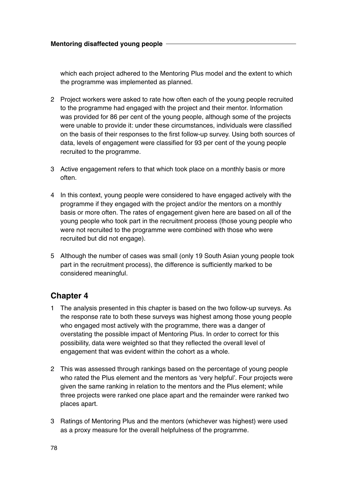which each project adhered to the Mentoring Plus model and the extent to which the programme was implemented as planned.

- 2 Project workers were asked to rate how often each of the young people recruited to the programme had engaged with the project and their mentor. Information was provided for 86 per cent of the young people, although some of the projects were unable to provide it: under these circumstances, individuals were classified on the basis of their responses to the first follow-up survey. Using both sources of data, levels of engagement were classified for 93 per cent of the young people recruited to the programme.
- 3 Active engagement refers to that which took place on a monthly basis or more often.
- 4 In this context, young people were considered to have engaged actively with the programme if they engaged with the project and/or the mentors on a monthly basis or more often. The rates of engagement given here are based on all of the young people who took part in the recruitment process (those young people who were not recruited to the programme were combined with those who were recruited but did not engage).
- 5 Although the number of cases was small (only 19 South Asian young people took part in the recruitment process), the difference is sufficiently marked to be considered meaningful.

## **Chapter 4**

- 1 The analysis presented in this chapter is based on the two follow-up surveys. As the response rate to both these surveys was highest among those young people who engaged most actively with the programme, there was a danger of overstating the possible impact of Mentoring Plus. In order to correct for this possibility, data were weighted so that they reflected the overall level of engagement that was evident within the cohort as a whole.
- 2 This was assessed through rankings based on the percentage of young people who rated the Plus element and the mentors as 'very helpful'. Four projects were given the same ranking in relation to the mentors and the Plus element; while three projects were ranked one place apart and the remainder were ranked two places apart.
- 3 Ratings of Mentoring Plus and the mentors (whichever was highest) were used as a proxy measure for the overall helpfulness of the programme.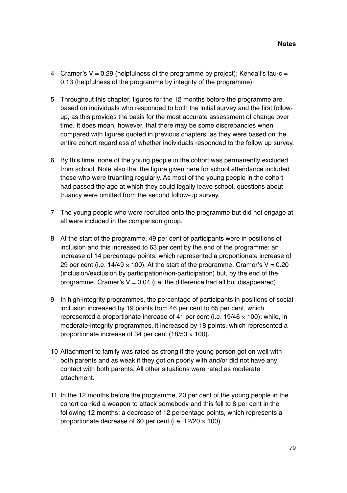- 4 Cramer's  $V = 0.29$  (helpfulness of the programme by project); Kendall's tau-c = 0.13 (helpfulness of the programme by integrity of the programme).
- 5 Throughout this chapter, figures for the 12 months before the programme are based on individuals who responded to both the initial survey and the first followup, as this provides the basis for the most accurate assessment of change over time. It does mean, however, that there may be some discrepancies when compared with figures quoted in previous chapters, as they were based on the entire cohort regardless of whether individuals responded to the follow up survey.
- 6 By this time, none of the young people in the cohort was permanently excluded from school. Note also that the figure given here for school attendance included those who were truanting regularly. As most of the young people in the cohort had passed the age at which they could legally leave school, questions about truancy were omitted from the second follow-up survey.
- 7 The young people who were recruited onto the programme but did not engage at all were included in the comparison group.
- 8 At the start of the programme, 49 per cent of participants were in positions of inclusion and this increased to 63 per cent by the end of the programme: an increase of 14 percentage points, which represented a proportionate increase of 29 per cent (i.e.  $14/49 \times 100$ ). At the start of the programme, Cramer's V = 0.20 (inclusion/exclusion by participation/non-participation) but, by the end of the programme, Cramer's  $V = 0.04$  (i.e. the difference had all but disappeared).
- 9 In high-integrity programmes, the percentage of participants in positions of social inclusion increased by 19 points from 46 per cent to 65 per cent, which represented a proportionate increase of 41 per cent (i.e.  $19/46 \times 100$ ); while, in moderate-integrity programmes, it increased by 18 points, which represented a proportionate increase of 34 per cent (18/53  $\times$  100).
- 10 Attachment to family was rated as strong if the young person got on well with both parents and as weak if they got on poorly with and/or did not have any contact with both parents. All other situations were rated as moderate attachment.
- 11 In the 12 months before the programme, 20 per cent of the young people in the cohort carried a weapon to attack somebody and this fell to 8 per cent in the following 12 months: a decrease of 12 percentage points, which represents a proportionate decrease of 60 per cent (i.e.  $12/20 \times 100$ ).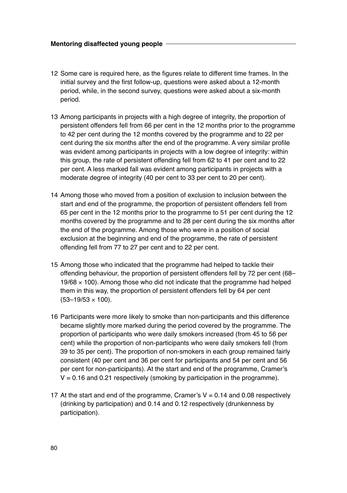- 12 Some care is required here, as the figures relate to different time frames. In the initial survey and the first follow-up, questions were asked about a 12-month period, while, in the second survey, questions were asked about a six-month period.
- 13 Among participants in projects with a high degree of integrity, the proportion of persistent offenders fell from 66 per cent in the 12 months prior to the programme to 42 per cent during the 12 months covered by the programme and to 22 per cent during the six months after the end of the programme. A very similar profile was evident among participants in projects with a low degree of integrity: within this group, the rate of persistent offending fell from 62 to 41 per cent and to 22 per cent. A less marked fall was evident among participants in projects with a moderate degree of integrity (40 per cent to 33 per cent to 20 per cent).
- 14 Among those who moved from a position of exclusion to inclusion between the start and end of the programme, the proportion of persistent offenders fell from 65 per cent in the 12 months prior to the programme to 51 per cent during the 12 months covered by the programme and to 28 per cent during the six months after the end of the programme. Among those who were in a position of social exclusion at the beginning and end of the programme, the rate of persistent offending fell from 77 to 27 per cent and to 22 per cent.
- 15 Among those who indicated that the programme had helped to tackle their offending behaviour, the proportion of persistent offenders fell by 72 per cent (68– 19/68  $\times$  100). Among those who did not indicate that the programme had helped them in this way, the proportion of persistent offenders fell by 64 per cent  $(53-19/53 \times 100)$ .
- 16 Participants were more likely to smoke than non-participants and this difference became slightly more marked during the period covered by the programme. The proportion of participants who were daily smokers increased (from 45 to 56 per cent) while the proportion of non-participants who were daily smokers fell (from 39 to 35 per cent). The proportion of non-smokers in each group remained fairly consistent (40 per cent and 36 per cent for participants and 54 per cent and 56 per cent for non-participants). At the start and end of the programme, Cramer's  $V = 0.16$  and 0.21 respectively (smoking by participation in the programme).
- 17 At the start and end of the programme, Cramer's  $V = 0.14$  and 0.08 respectively (drinking by participation) and 0.14 and 0.12 respectively (drunkenness by participation).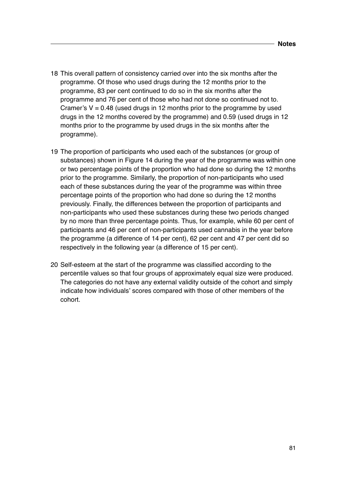- 18 This overall pattern of consistency carried over into the six months after the programme. Of those who used drugs during the 12 months prior to the programme, 83 per cent continued to do so in the six months after the programme and 76 per cent of those who had not done so continued not to. Cramer's  $V = 0.48$  (used drugs in 12 months prior to the programme by used drugs in the 12 months covered by the programme) and 0.59 (used drugs in 12 months prior to the programme by used drugs in the six months after the programme).
- 19 The proportion of participants who used each of the substances (or group of substances) shown in Figure 14 during the year of the programme was within one or two percentage points of the proportion who had done so during the 12 months prior to the programme. Similarly, the proportion of non-participants who used each of these substances during the year of the programme was within three percentage points of the proportion who had done so during the 12 months previously. Finally, the differences between the proportion of participants and non-participants who used these substances during these two periods changed by no more than three percentage points. Thus, for example, while 60 per cent of participants and 46 per cent of non-participants used cannabis in the year before the programme (a difference of 14 per cent), 62 per cent and 47 per cent did so respectively in the following year (a difference of 15 per cent).
- 20 Self-esteem at the start of the programme was classified according to the percentile values so that four groups of approximately equal size were produced. The categories do not have any external validity outside of the cohort and simply indicate how individuals' scores compared with those of other members of the cohort.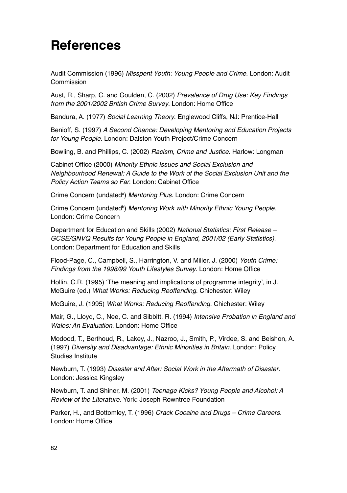## **References**

Audit Commission (1996) Misspent Youth: Young People and Crime. London: Audit **Commission** 

Aust, R., Sharp, C. and Goulden, C. (2002) Prevalence of Drug Use: Key Findings from the 2001/2002 British Crime Survey. London: Home Office

Bandura, A. (1977) Social Learning Theory. Englewood Cliffs, NJ: Prentice-Hall

Benioff, S. (1997) A Second Chance: Developing Mentoring and Education Projects for Young People. London: Dalston Youth Project/Crime Concern

Bowling, B. and Phillips, C. (2002) Racism, Crime and Justice. Harlow: Longman

Cabinet Office (2000) Minority Ethnic Issues and Social Exclusion and Neighbourhood Renewal: A Guide to the Work of the Social Exclusion Unit and the Policy Action Teams so Far. London: Cabinet Office

Crime Concern (undated<sup>a</sup>) Mentoring Plus. London: Crime Concern

Crime Concern (undated<sup>b</sup>) Mentoring Work with Minority Ethnic Young People. London: Crime Concern

Department for Education and Skills (2002) National Statistics: First Release -GCSE/GNVQ Results for Young People in England, 2001/02 (Early Statistics). London: Department for Education and Skills

Flood-Page, C., Campbell, S., Harrington, V. and Miller, J. (2000) Youth Crime: Findings from the 1998/99 Youth Lifestyles Survey. London: Home Office

Hollin, C.R. (1995) 'The meaning and implications of programme integrity', in J. McGuire (ed.) What Works: Reducing Reoffending. Chichester: Wiley

McGuire, J. (1995) What Works: Reducing Reoffending. Chichester: Wiley

Mair, G., Lloyd, C., Nee, C. and Sibbitt, R. (1994) Intensive Probation in England and Wales: An Evaluation. London: Home Office

Modood, T., Berthoud, R., Lakey, J., Nazroo, J., Smith, P., Virdee, S. and Beishon, A. (1997) Diversity and Disadvantage: Ethnic Minorities in Britain. London: Policy Studies Institute

Newburn, T. (1993) Disaster and After: Social Work in the Aftermath of Disaster. London: Jessica Kingsley

Newburn, T. and Shiner, M. (2001) Teenage Kicks? Young People and Alcohol: A Review of the Literature. York: Joseph Rowntree Foundation

Parker, H., and Bottomley, T. (1996) Crack Cocaine and Drugs – Crime Careers. London: Home Office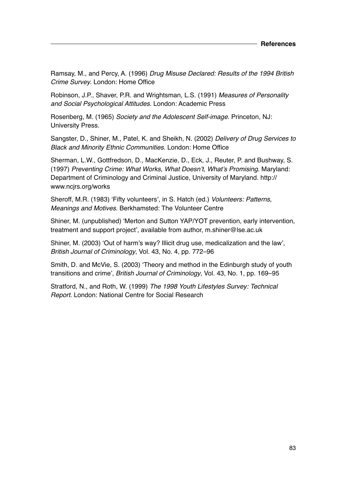Ramsay, M., and Percy, A. (1996) Drug Misuse Declared: Results of the 1994 British Crime Survey. London: Home Office

Robinson, J.P., Shaver, P.R. and Wrightsman, L.S. (1991) Measures of Personality and Social Psychological Attitudes. London: Academic Press

Rosenberg, M. (1965) Society and the Adolescent Self-image. Princeton, NJ: University Press.

Sangster, D., Shiner, M., Patel, K. and Sheikh, N. (2002) Delivery of Drug Services to Black and Minority Ethnic Communities. London: Home Office

Sherman, L.W., Gottfredson, D., MacKenzie, D., Eck, J., Reuter, P. and Bushway, S. (1997) Preventing Crime: What Works, What Doesn't, What's Promising. Maryland: Department of Criminology and Criminal Justice, University of Maryland. http:// www.ncjrs.org/works

Sheroff, M.R. (1983) 'Fifty volunteers', in S. Hatch (ed.) Volunteers: Patterns, Meanings and Motives. Berkhamsted: The Volunteer Centre

Shiner, M. (unpublished) 'Merton and Sutton YAP/YOT prevention, early intervention, treatment and support project', available from author, m.shiner@lse.ac.uk

Shiner, M. (2003) 'Out of harm's way? Illicit drug use, medicalization and the law', British Journal of Criminology, Vol. 43, No. 4, pp. 772–96

Smith, D. and McVie, S. (2003) 'Theory and method in the Edinburgh study of youth transitions and crime', British Journal of Criminology, Vol. 43, No. 1, pp. 169–95

Stratford, N., and Roth, W. (1999) The 1998 Youth Lifestyles Survey: Technical Report. London: National Centre for Social Research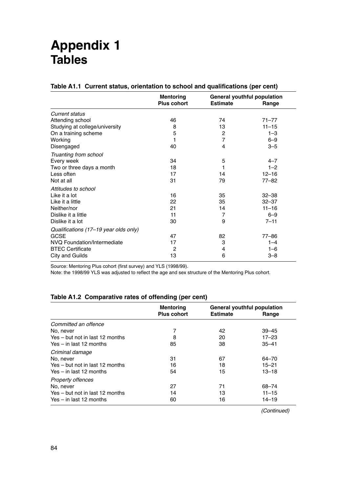## **Appendix 1 Tables**

|                                       | <b>Mentoring</b>   | <b>General youthful population</b> |           |  |
|---------------------------------------|--------------------|------------------------------------|-----------|--|
|                                       | <b>Plus cohort</b> | <b>Estimate</b>                    | Range     |  |
| <b>Current status</b>                 |                    |                                    |           |  |
| Attending school                      | 46                 | 74                                 | $71 - 77$ |  |
| Studying at college/university        | 8                  | 13                                 | $11 - 15$ |  |
| On a training scheme                  | 5                  | $\mathbf{2}$                       | $1 - 3$   |  |
| Working                               |                    | $\overline{7}$                     | $6 - 9$   |  |
| Disengaged                            | 40                 | $\overline{4}$                     | $3 - 5$   |  |
| Truanting from school                 |                    |                                    |           |  |
| Every week                            | 34                 | 5                                  | $4 - 7$   |  |
| Two or three days a month             | 18                 | 1                                  | $1 - 2$   |  |
| Less often                            | 17                 | 14                                 | $12 - 16$ |  |
| Not at all                            | 31                 | 79                                 | $77 - 82$ |  |
| Attitudes to school                   |                    |                                    |           |  |
| Like it a lot                         | 16                 | 35                                 | $32 - 38$ |  |
| Like it a little                      | 22                 | 35                                 | $32 - 37$ |  |
| Neither/nor                           | 21                 | 14                                 | $11 - 16$ |  |
| Dislike it a little                   | 11                 | 7                                  | $6 - 9$   |  |
| Dislike it a lot                      | 30                 | 9                                  | $7 - 11$  |  |
| Qualifications (17-19 year olds only) |                    |                                    |           |  |
| <b>GCSE</b>                           | 47                 | 82                                 | $77 - 86$ |  |
| NVQ Foundation/Intermediate           | 17                 | 3                                  | $1 - 4$   |  |
| <b>BTEC Certificate</b>               | $\overline{2}$     | 4                                  | $1 - 6$   |  |
| City and Guilds                       | 13                 | 6                                  | $3 - 8$   |  |

#### **Table A1.1 Current status, orientation to school and qualifications (per cent)**

Source: Mentoring Plus cohort (first survey) and YLS (1998/99).

Note: the 1998/99 YLS was adjusted to reflect the age and sex structure of the Mentoring Plus cohort.

|  | Table A1.2 Comparative rates of offending (per cent) |  |  |  |  |
|--|------------------------------------------------------|--|--|--|--|
|--|------------------------------------------------------|--|--|--|--|

|                                 | <b>Mentoring</b>   | <b>General youthful population</b> |           |
|---------------------------------|--------------------|------------------------------------|-----------|
|                                 | <b>Plus cohort</b> | <b>Estimate</b>                    | Range     |
| Committed an offence            |                    |                                    |           |
| No. never                       | 7                  | 42                                 | $39 - 45$ |
| Yes – but not in last 12 months | 8                  | 20                                 | $17 - 23$ |
| Yes $-$ in last 12 months       | 85                 | 38                                 | $35 - 41$ |
| Criminal damage                 |                    |                                    |           |
| No. never                       | 31                 | 67                                 | 64-70     |
| Yes – but not in last 12 months | 16                 | 18                                 | $15 - 21$ |
| Yes $-$ in last 12 months       | 54                 | 15                                 | $13 - 18$ |
| <b>Property offences</b>        |                    |                                    |           |
| No, never                       | 27                 | 71                                 | 68-74     |
| Yes – but not in last 12 months | 14                 | 13                                 | $11 - 15$ |
| $Yes - in last 12 months$       | 60                 | 16                                 | $14 - 19$ |

(Continued)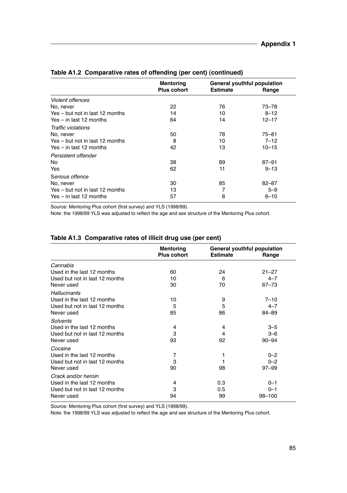|                                 | <b>Mentoring</b>   | <b>General youthful population</b> |           |
|---------------------------------|--------------------|------------------------------------|-----------|
|                                 | <b>Plus cohort</b> | <b>Estimate</b>                    | Range     |
| <i>Violent offences</i>         |                    |                                    |           |
| No, never                       | 22                 | 76                                 | $73 - 78$ |
| Yes – but not in last 12 months | 14                 | 10                                 | $8 - 12$  |
| Yes $-$ in last 12 months       | 64                 | 14                                 | $12 - 17$ |
| Traffic violations              |                    |                                    |           |
| No, never                       | 50                 | 78                                 | $75 - 81$ |
| Yes – but not in last 12 months | 8                  | 10                                 | $7 - 12$  |
| Yes – in last 12 months         | 42                 | 13                                 | $10 - 15$ |
| Persistent offender             |                    |                                    |           |
| No.                             | 38                 | 89                                 | $87 - 91$ |
| Yes                             | 62                 | 11                                 | $9 - 13$  |
| Serious offence                 |                    |                                    |           |
| No, never                       | 30                 | 85                                 | $82 - 87$ |
| Yes – but not in last 12 months | 13                 | 7                                  | $5 - 9$   |
| Yes $-$ in last 12 months       | 57                 | 8                                  | $6 - 10$  |

#### **Table A1.2 Comparative rates of offending (per cent)** *(continued)*

Source: Mentoring Plus cohort (first survey) and YLS (1998/99).

Note: the 1998/99 YLS was adjusted to reflect the age and sex structure of the Mentoring Plus cohort.

|                                | <b>Mentoring</b><br><b>Plus cohort</b> | <b>General youthful population</b><br><b>Estimate</b><br>Range |            |  |
|--------------------------------|----------------------------------------|----------------------------------------------------------------|------------|--|
| Cannabis                       |                                        |                                                                |            |  |
| Used in the last 12 months     | 60                                     | 24                                                             | $21 - 27$  |  |
| Used but not in last 12 months | 10                                     | 6                                                              | $4 - 7$    |  |
| Never used                     | 30                                     | 70                                                             | $67 - 73$  |  |
| Hallucinants                   |                                        |                                                                |            |  |
| Used in the last 12 months     | 10                                     | 9                                                              | $7 - 10$   |  |
| Used but not in last 12 months | 5                                      | 5                                                              | $4 - 7$    |  |
| Never used                     | 85                                     | 86                                                             | 84-89      |  |
| Solvents                       |                                        |                                                                |            |  |
| Used in the last 12 months     | 4                                      | 4                                                              | $3 - 5$    |  |
| Used but not in last 12 months | 3                                      | 4                                                              | $3 - 6$    |  |
| Never used                     | 93                                     | 92                                                             | $90 - 94$  |  |
| Cocaine                        |                                        |                                                                |            |  |
| Used in the last 12 months     | 7                                      | 1                                                              | $0 - 2$    |  |
| Used but not in last 12 months | 3                                      |                                                                | $0 - 2$    |  |
| Never used                     | 90                                     | 98                                                             | $97 - 99$  |  |
| Crack and/or heroin            |                                        |                                                                |            |  |
| Used in the last 12 months     | 4                                      | 0.3                                                            | $0 - 1$    |  |
| Used but not in last 12 months | 3                                      | 0.5                                                            | $0 - 1$    |  |
| Never used                     | 94                                     | 99                                                             | $98 - 100$ |  |

#### **Table A1.3 Comparative rates of illicit drug use (per cent)**

Source: Mentoring Plus cohort (first survey) and YLS (1998/99).

Note: the 1998/99 YLS was adjusted to reflect the age and sex structure of the Mentoring Plus cohort.